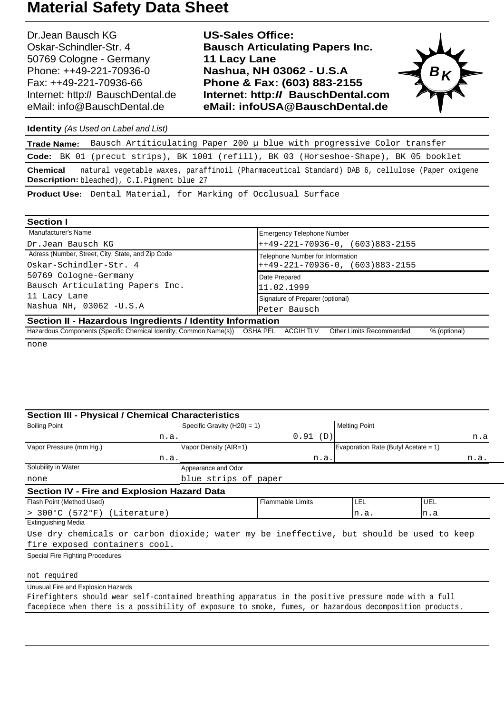Dr.Jean Bausch KG Oskar-Schindler-Str. 4 50769 Cologne - Germany Phone: ++49-221-70936-0 Fax: ++49-221-70936-66 Internet: http:// BauschDental.de eMail: [info@BauschDental.de](mailto:info@BauschDental.de)

**US-Sales Office: Bausch Articulating Papers Inc. 11 Lacy Lane Nashua, NH 03062 - U.S.A Phone & Fax: (603) 883-2155 Internet: http:II BauschDental.com eMail: [infoUSA@BauschDental.de](mailto:infoUSA@BauschDental.de)**



**Identity** (As Used on Label and List)

**Trade Name:** Bausch Artiticulating Paper 200 µ blue with progressive Color transfer

**Code:** BK 01 (precut strips), BK 1001 (refill), BK 03 (Horseshoe-Shape), BK 05 booklet

natural vegetable waxes, paraffinoil (Pharmaceutical Standard) DAB 6, cellulose (Paper oxigene Description: bleached), C.I.Pigment blue 27 **Chemical**

**Product Use:** Dental Material, for Marking of Occlusual Surface

| <b>Section I</b>                                                                     |                                          |  |  |  |
|--------------------------------------------------------------------------------------|------------------------------------------|--|--|--|
| Manufacturer's Name                                                                  | <b>Emergency Telephone Number</b>        |  |  |  |
| Dr.Jean Bausch KG                                                                    | $+49-221-70936-0$ , (603)883-2155        |  |  |  |
| Adress (Number, Street, City, State, and Zip Code                                    | Telephone Number for Information         |  |  |  |
| Oskar-Schindler-Str. 4                                                               | $+49-221-70936-0$ , (603)883-2155        |  |  |  |
| 50769 Cologne-Germany                                                                | Date Prepared                            |  |  |  |
| Bausch Articulating Papers Inc.<br>11 Lacy Lane<br>Nashua NH, 03062 - U.S.A          | 11.02.1999                               |  |  |  |
|                                                                                      | Signature of Preparer (optional)         |  |  |  |
|                                                                                      | Peter Bausch                             |  |  |  |
| Section II - Hazardous Ingredients / Identity Information                            |                                          |  |  |  |
| Hazardous Components (Specific Chemical Identity; Common Name(s)) OSHA PEL ACGIH TLV | Other Limits Recommended<br>% (optional) |  |  |  |

none

| <b>Section III - Physical / Chemical Characteristics</b>                                 |                                                     |      |                                      |                                                         |
|------------------------------------------------------------------------------------------|-----------------------------------------------------|------|--------------------------------------|---------------------------------------------------------|
| <b>Boiling Point</b>                                                                     | Specific Gravity $(H20) = 1$ )                      |      | <b>Melting Point</b>                 |                                                         |
| n.a.                                                                                     | 0.91<br>(D)                                         |      |                                      | n.a                                                     |
| Vapor Pressure (mm Hg.)                                                                  | Vapor Density (AIR=1)                               |      | Evaporation Rate (Butyl Acetate = 1) |                                                         |
| n.a.                                                                                     |                                                     | n.a. |                                      | n.a.                                                    |
| Solubility in Water                                                                      | Appearance and Odor                                 |      |                                      |                                                         |
| none                                                                                     | blue strips of paper                                |      |                                      |                                                         |
| <b>Section IV - Fire and Explosion Hazard Data</b>                                       |                                                     |      |                                      |                                                         |
| Flash Point (Method Used)                                                                | <b>UEL</b><br><b>Flammable Limits</b><br><b>LEL</b> |      |                                      |                                                         |
| > 300°C (572°F) (Literature)                                                             |                                                     |      | n.a.                                 | n.a                                                     |
| <b>Extinguishing Media</b>                                                               |                                                     |      |                                      |                                                         |
| Use dry chemicals or carbon dioxide; water my be ineffective, but should be used to keep |                                                     |      |                                      |                                                         |
| fire exposed containers cool.                                                            |                                                     |      |                                      |                                                         |
| Special Fire Fighting Procedures                                                         |                                                     |      |                                      |                                                         |
|                                                                                          |                                                     |      |                                      |                                                         |
| not required                                                                             |                                                     |      |                                      |                                                         |
| Unusual Fire and Explosion Hazards                                                       |                                                     |      |                                      |                                                         |
|                                                                                          |                                                     |      |                                      | $\sim$ $\sim$ $\sim$ $\sim$ $\sim$ $\sim$ $\sim$ $\sim$ |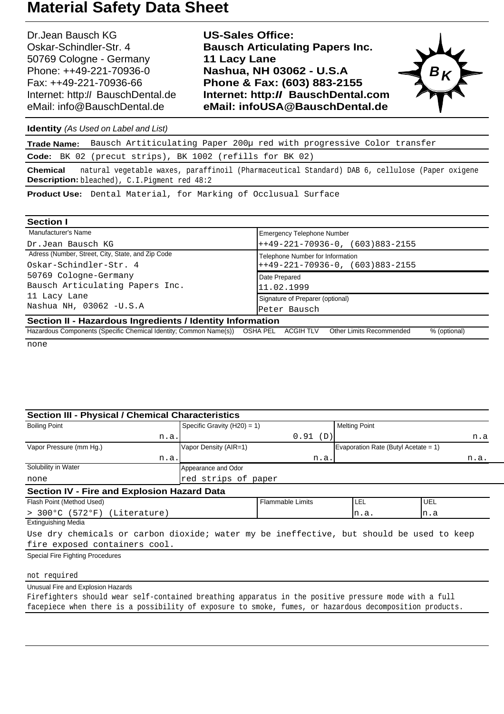Dr.Jean Bausch KG Oskar-Schindler-Str. 4 50769 Cologne - Germany Phone: ++49-221-70936-0 Fax: ++49-221-70936-66 Internet: http:// BauschDental.de eMail: [info@BauschDental.de](mailto:info@BauschDental.de)

**US-Sales Office: Bausch Articulating Papers Inc. 11 Lacy Lane Nashua, NH 03062 - U.S.A Phone & Fax: (603) 883-2155 Internet: http:II BauschDental.com eMail: [infoUSA@BauschDental.de](mailto:infoUSA@BauschDental.de)**



**Identity** (As Used on Label and List)

**Trade Name:** Bausch Artiticulating Paper 200µ red with progressive Color transfer

**Code:** BK 02 (precut strips), BK 1002 (refills for BK 02)

natural vegetable waxes, paraffinoil (Pharmaceutical Standard) DAB 6, cellulose (Paper oxigene Description: bleached), C.I.Pigment red 48:2 **Chemical**

**Product Use:** Dental Material, for Marking of Occlusual Surface

| <b>Section I</b>                                                                     |                                          |  |  |
|--------------------------------------------------------------------------------------|------------------------------------------|--|--|
| Manufacturer's Name                                                                  | <b>Emergency Telephone Number</b>        |  |  |
| Dr.Jean Bausch KG                                                                    | $++49-221-70936-0, (603)883-2155$        |  |  |
| Adress (Number, Street, City, State, and Zip Code                                    | Telephone Number for Information         |  |  |
| Oskar-Schindler-Str. 4                                                               | $++49-221-70936-0, (603)883-2155$        |  |  |
| 50769 Cologne-Germany                                                                | Date Prepared                            |  |  |
| Bausch Articulating Papers Inc.                                                      | 11.02.1999                               |  |  |
| 11 Lacy Lane                                                                         | Signature of Preparer (optional)         |  |  |
| Nashua NH, 03062 - U.S.A                                                             | Peter Bausch                             |  |  |
| Section II - Hazardous Ingredients / Identity Information                            |                                          |  |  |
| Hazardous Components (Specific Chemical Identity; Common Name(s)) OSHA PEL ACGIH TLV | Other Limits Recommended<br>% (optional) |  |  |

none

| <b>Section III - Physical / Chemical Characteristics</b>                                                                  |                                |                         |                                      |            |
|---------------------------------------------------------------------------------------------------------------------------|--------------------------------|-------------------------|--------------------------------------|------------|
| <b>Boiling Point</b>                                                                                                      | Specific Gravity $(H20) = 1$ ) |                         | <b>Melting Point</b>                 |            |
| n.a.                                                                                                                      |                                | 0.91<br>(D)             | n.a                                  |            |
| Vapor Pressure (mm Hg.)                                                                                                   | Vapor Density (AIR=1)          |                         | Evaporation Rate (Butyl Acetate = 1) |            |
| n.a.                                                                                                                      |                                | n.a.                    |                                      | n.a.       |
| Solubility in Water                                                                                                       | Appearance and Odor            |                         |                                      |            |
| none                                                                                                                      | red strips of paper            |                         |                                      |            |
| <b>Section IV - Fire and Explosion Hazard Data</b>                                                                        |                                |                         |                                      |            |
| Flash Point (Method Used)                                                                                                 |                                | <b>Flammable Limits</b> | I LEL                                | <b>UEL</b> |
| > 300°C (572°F) (Literature)                                                                                              |                                |                         | n.a.                                 | In.a       |
| <b>Extinguishing Media</b>                                                                                                |                                |                         |                                      |            |
| Use dry chemicals or carbon dioxide; water my be ineffective, but should be used to keep<br>fire exposed containers cool. |                                |                         |                                      |            |
| Special Fire Fighting Procedures                                                                                          |                                |                         |                                      |            |
| not required                                                                                                              |                                |                         |                                      |            |
| Unusual Fire and Explosion Hazards                                                                                        |                                |                         |                                      |            |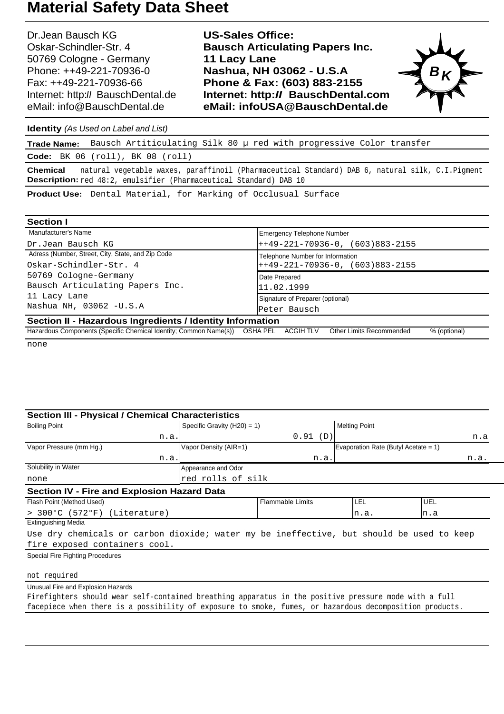Dr.Jean Bausch KG Oskar-Schindler-Str. 4 50769 Cologne - Germany Phone: ++49-221-70936-0 Fax: ++49-221-70936-66 Internet: http:// BauschDental.de eMail: [info@BauschDental.de](mailto:info@BauschDental.de)

**US-Sales Office: Bausch Articulating Papers Inc. 11 Lacy Lane Nashua, NH 03062 - U.S.A Phone & Fax: (603) 883-2155 Internet: http:II BauschDental.com eMail: [infoUSA@BauschDental.de](mailto:infoUSA@BauschDental.de)**



**Identity** (As Used on Label and List)

**Trade Name:** Bausch Artiticulating Silk 80 µ red with progressive Color transfer

**Code:** BK 06 (roll), BK 08 (roll)

natural vegetable waxes, paraffinoil (Pharmaceutical Standard) DAB 6, natural silk, C.I.Pigment Description: red 48:2, emulsifier (Pharmaceutical Standard) DAB 10 **Chemical**

**Product Use:** Dental Material, for Marking of Occlusual Surface

| <b>Section I</b>                                                                     |                                          |  |  |  |
|--------------------------------------------------------------------------------------|------------------------------------------|--|--|--|
| Manufacturer's Name                                                                  | <b>Emergency Telephone Number</b>        |  |  |  |
| Dr.Jean Bausch KG                                                                    | $+49-221-70936-0$ , (603)883-2155        |  |  |  |
| Adress (Number, Street, City, State, and Zip Code                                    | Telephone Number for Information         |  |  |  |
| Oskar-Schindler-Str. 4                                                               | $+49-221-70936-0$ , (603)883-2155        |  |  |  |
| 50769 Cologne-Germany                                                                | Date Prepared                            |  |  |  |
| Bausch Articulating Papers Inc.<br>11 Lacy Lane                                      | 11.02.1999                               |  |  |  |
|                                                                                      | Signature of Preparer (optional)         |  |  |  |
| Nashua NH, 03062 -U.S.A                                                              | Peter Bausch                             |  |  |  |
| Section II - Hazardous Ingredients / Identity Information                            |                                          |  |  |  |
| Hazardous Components (Specific Chemical Identity; Common Name(s)) OSHA PEL ACGIH TLV | Other Limits Recommended<br>% (optional) |  |  |  |

none

| <b>Section III - Physical / Chemical Characteristics</b>                                                                  |                                |                         |                                      |            |
|---------------------------------------------------------------------------------------------------------------------------|--------------------------------|-------------------------|--------------------------------------|------------|
| <b>Boiling Point</b>                                                                                                      | Specific Gravity $(H20) = 1$ ) |                         | <b>Melting Point</b>                 |            |
| n.a.                                                                                                                      |                                | 0.91<br>(D)             | n.a                                  |            |
| Vapor Pressure (mm Hg.)                                                                                                   | Vapor Density (AIR=1)          |                         | Evaporation Rate (Butyl Acetate = 1) |            |
| n.a.                                                                                                                      |                                | n.a.                    |                                      | n.a.       |
| Solubility in Water                                                                                                       | Appearance and Odor            |                         |                                      |            |
| none                                                                                                                      | red rolls of silk              |                         |                                      |            |
| <b>Section IV - Fire and Explosion Hazard Data</b>                                                                        |                                |                         |                                      |            |
| Flash Point (Method Used)                                                                                                 |                                | <b>Flammable Limits</b> | I LEL                                | <b>UEL</b> |
| > 300°C (572°F) (Literature)                                                                                              |                                |                         | n.a.                                 | In.a       |
| <b>Extinguishing Media</b>                                                                                                |                                |                         |                                      |            |
| Use dry chemicals or carbon dioxide; water my be ineffective, but should be used to keep<br>fire exposed containers cool. |                                |                         |                                      |            |
| Special Fire Fighting Procedures                                                                                          |                                |                         |                                      |            |
| not required                                                                                                              |                                |                         |                                      |            |
| Unusual Fire and Explosion Hazards                                                                                        |                                |                         |                                      |            |
|                                                                                                                           |                                |                         |                                      |            |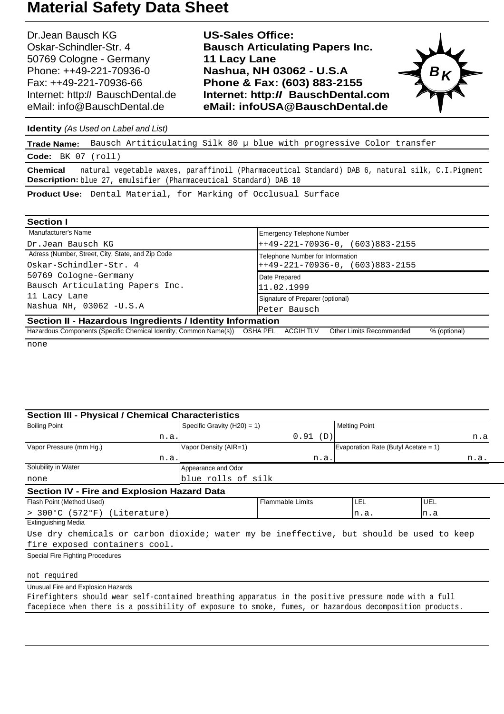Dr.Jean Bausch KG Oskar-Schindler-Str. 4 50769 Cologne - Germany Phone: ++49-221-70936-0 Fax: ++49-221-70936-66 Internet: http:// BauschDental.de eMail: [info@BauschDental.de](mailto:info@BauschDental.de)

**US-Sales Office: Bausch Articulating Papers Inc. 11 Lacy Lane Nashua, NH 03062 - U.S.A Phone & Fax: (603) 883-2155 Internet: http:II BauschDental.com eMail: [infoUSA@BauschDental.de](mailto:infoUSA@BauschDental.de)**



**Identity** (As Used on Label and List)

**Trade Name:** Bausch Artiticulating Silk 80 µ blue with progressive Color transfer

**Code:** BK 07 (roll)

natural vegetable waxes, paraffinoil (Pharmaceutical Standard) DAB 6, natural silk, C.I.Pigment Description: blue 27, emulsifier (Pharmaceutical Standard) DAB 10 **Chemical**

**Product Use:** Dental Material, for Marking of Occlusual Surface

| <b>Section I</b>                                                                     |                                                 |  |  |  |
|--------------------------------------------------------------------------------------|-------------------------------------------------|--|--|--|
| Manufacturer's Name                                                                  | <b>Emergency Telephone Number</b>               |  |  |  |
| Dr.Jean Bausch KG                                                                    | $+49-221-70936-0, (603)883-2155$                |  |  |  |
| Adress (Number, Street, City, State, and Zip Code                                    | Telephone Number for Information                |  |  |  |
| Oskar-Schindler-Str. 4                                                               | $+49-221-70936-0$ , (603)883-2155               |  |  |  |
| 50769 Cologne-Germany                                                                | Date Prepared                                   |  |  |  |
| Bausch Articulating Papers Inc.                                                      | 11.02.1999                                      |  |  |  |
| 11 Lacy Lane                                                                         | Signature of Preparer (optional)                |  |  |  |
| Nashua NH, 03062 - U.S.A                                                             | Peter Bausch                                    |  |  |  |
| Section II - Hazardous Ingredients / Identity Information                            |                                                 |  |  |  |
| Hazardous Components (Specific Chemical Identity; Common Name(s)) OSHA PEL ACGIH TLV | <b>Other Limits Recommended</b><br>% (optional) |  |  |  |

none

| <b>Section III - Physical / Chemical Characteristics</b>                                 |                                |                                               |                                      |  |                                                    |
|------------------------------------------------------------------------------------------|--------------------------------|-----------------------------------------------|--------------------------------------|--|----------------------------------------------------|
| <b>Boiling Point</b>                                                                     | Specific Gravity $(H20) = 1$ ) | <b>Melting Point</b>                          |                                      |  |                                                    |
| n.a.                                                                                     |                                | 0.91<br>(D)                                   |                                      |  | n.a                                                |
| Vapor Pressure (mm Hg.)                                                                  | Vapor Density (AIR=1)          |                                               | Evaporation Rate (Butyl Acetate = 1) |  |                                                    |
| n.a.                                                                                     |                                | n.a.                                          |                                      |  | n.a.                                               |
| Solubility in Water                                                                      | Appearance and Odor            |                                               |                                      |  |                                                    |
| none                                                                                     | blue rolls of silk             |                                               |                                      |  |                                                    |
| Section IV - Fire and Explosion Hazard Data                                              |                                |                                               |                                      |  |                                                    |
| Flash Point (Method Used)                                                                |                                | <b>Flammable Limits</b><br><b>UEL</b><br>LEL. |                                      |  |                                                    |
| > 300°C (572°F) (Literature)                                                             |                                |                                               | n.a.                                 |  | In.a                                               |
| <b>Extinguishing Media</b>                                                               |                                |                                               |                                      |  |                                                    |
| Use dry chemicals or carbon dioxide; water my be ineffective, but should be used to keep |                                |                                               |                                      |  |                                                    |
| fire exposed containers cool.                                                            |                                |                                               |                                      |  |                                                    |
| Special Fire Fighting Procedures                                                         |                                |                                               |                                      |  |                                                    |
|                                                                                          |                                |                                               |                                      |  |                                                    |
| not required                                                                             |                                |                                               |                                      |  |                                                    |
| Unusual Fire and Explosion Hazards                                                       |                                |                                               |                                      |  |                                                    |
|                                                                                          |                                | .                                             |                                      |  | $\mathbf{a}$ , and $\mathbf{a}$ , and $\mathbf{a}$ |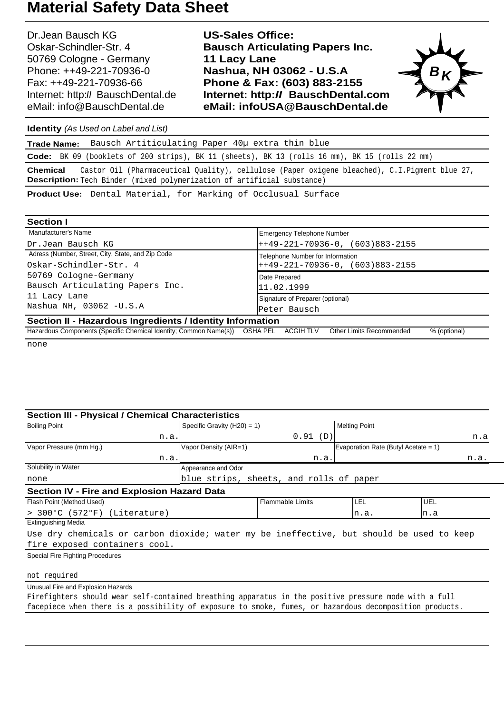Dr.Jean Bausch KG Oskar-Schindler-Str. 4 50769 Cologne - Germany Phone: ++49-221-70936-0 Fax: ++49-221-70936-66 Internet: http:// BauschDental.de eMail: [info@BauschDental.de](mailto:info@BauschDental.de)

**US-Sales Office: Bausch Articulating Papers Inc. 11 Lacy Lane Nashua, NH 03062 - U.S.A Phone & Fax: (603) 883-2155 Internet: http:II BauschDental.com eMail: [infoUSA@BauschDental.de](mailto:infoUSA@BauschDental.de)**



**Identity** (As Used on Label and List)

**Trade Name:** Bausch Artiticulating Paper 40µ extra thin blue **Code:** BK 09 (booklets of 200 strips), BK 11 (sheets), BK 13 (rolls 16 mm), BK 15 (rolls 22 mm) Castor Oil (Pharmaceutical Quality), cellulose (Paper oxigene bleached), C.I.Pigment blue 27, **Chemical**

Description: Tech Binder (mixed polymerization of artificial substance)

**Product Use:** Dental Material, for Marking of Occlusual Surface

| <b>Section I</b>                                                                     |                                          |  |  |
|--------------------------------------------------------------------------------------|------------------------------------------|--|--|
| Manufacturer's Name                                                                  | <b>Emergency Telephone Number</b>        |  |  |
| Dr.Jean Bausch KG                                                                    | $++49-221-70936-0, (603)883-2155$        |  |  |
| Adress (Number, Street, City, State, and Zip Code                                    | Telephone Number for Information         |  |  |
| Oskar-Schindler-Str. 4                                                               | $++49-221-70936-0, (603)883-2155$        |  |  |
| 50769 Cologne-Germany                                                                | Date Prepared                            |  |  |
| Bausch Articulating Papers Inc.                                                      | 11.02.1999                               |  |  |
| 11 Lacy Lane                                                                         | Signature of Preparer (optional)         |  |  |
| Nashua NH, 03062 - U.S.A                                                             | Peter Bausch                             |  |  |
| Section II - Hazardous Ingredients / Identity Information                            |                                          |  |  |
| Hazardous Components (Specific Chemical Identity; Common Name(s)) OSHA PEL ACGIH TLV | Other Limits Recommended<br>% (optional) |  |  |

none

| <b>Section III - Physical / Chemical Characteristics</b>                                                                  |                                                |                                         |                                      |  |  |
|---------------------------------------------------------------------------------------------------------------------------|------------------------------------------------|-----------------------------------------|--------------------------------------|--|--|
| <b>Boiling Point</b>                                                                                                      | Specific Gravity $(H20) = 1$ )                 |                                         | <b>Melting Point</b>                 |  |  |
| n.a.                                                                                                                      |                                                | 0.91<br>(D)                             | n.a                                  |  |  |
| Vapor Pressure (mm Hg.)                                                                                                   | Vapor Density (AIR=1)                          |                                         | Evaporation Rate (Butyl Acetate = 1) |  |  |
| n.a.                                                                                                                      |                                                | n.a.                                    | n.a.                                 |  |  |
| Solubility in Water                                                                                                       | Appearance and Odor                            |                                         |                                      |  |  |
| none                                                                                                                      |                                                | blue strips, sheets, and rolls of paper |                                      |  |  |
| <b>Section IV - Fire and Explosion Hazard Data</b>                                                                        |                                                |                                         |                                      |  |  |
| Flash Point (Method Used)                                                                                                 | <b>Flammable Limits</b><br><b>UEL</b><br>I LEL |                                         |                                      |  |  |
| > 300°C (572°F) (Literature)                                                                                              | n.a.<br>In.a                                   |                                         |                                      |  |  |
| <b>Extinguishing Media</b>                                                                                                |                                                |                                         |                                      |  |  |
| Use dry chemicals or carbon dioxide; water my be ineffective, but should be used to keep<br>fire exposed containers cool. |                                                |                                         |                                      |  |  |
| Special Fire Fighting Procedures                                                                                          |                                                |                                         |                                      |  |  |
| not required                                                                                                              |                                                |                                         |                                      |  |  |
| Unusual Fire and Explosion Hazards                                                                                        |                                                |                                         |                                      |  |  |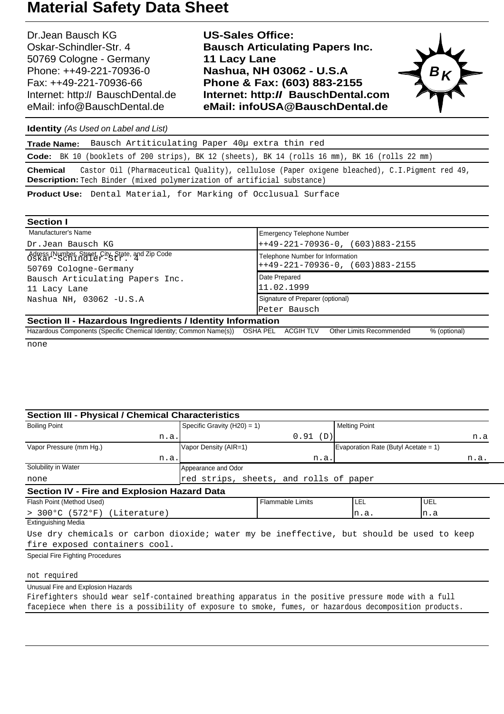Dr.Jean Bausch KG Oskar-Schindler-Str. 4 50769 Cologne - Germany Phone: ++49-221-70936-0 Fax: ++49-221-70936-66 Internet: http:// BauschDental.de eMail: [info@BauschDental.de](mailto:info@BauschDental.de)

**US-Sales Office: Bausch Articulating Papers Inc. 11 Lacy Lane Nashua, NH 03062 - U.S.A Phone & Fax: (603) 883-2155 Internet: http:II BauschDental.com eMail: [infoUSA@BauschDental.de](mailto:infoUSA@BauschDental.de)**



**Identity** (As Used on Label and List)

**Trade Name:** Bausch Artiticulating Paper 40µ extra thin red

**Code:** BK 10 (booklets of 200 strips), BK 12 (sheets), BK 14 (rolls 16 mm), BK 16 (rolls 22 mm)

Castor Oil (Pharmaceutical Quality), cellulose (Paper oxigene bleached), C.I.Pigment red 49, Description: Tech Binder (mixed polymerization of artificial substance) **Chemical**

**Product Use:** Dental Material, for Marking of Occlusual Surface

| <b>Section I</b>                                                                     |                                                                       |  |  |
|--------------------------------------------------------------------------------------|-----------------------------------------------------------------------|--|--|
| Manufacturer's Name                                                                  | <b>Emergency Telephone Number</b>                                     |  |  |
| Dr.Jean Bausch KG                                                                    | $++49-221-70936-0, (603)883-2155$                                     |  |  |
| Adress (Number, Street, City, State, and Zip Code<br>Oskar-Schindler-Str. 4          | Telephone Number for Information<br>$++49-221-70936-0, (603)883-2155$ |  |  |
| 50769 Cologne-Germany                                                                |                                                                       |  |  |
| Bausch Articulating Papers Inc.                                                      | Date Prepared                                                         |  |  |
| 11 Lacy Lane                                                                         | 11.02.1999                                                            |  |  |
| Nashua NH, 03062 - U.S.A                                                             | Signature of Preparer (optional)                                      |  |  |
|                                                                                      | Peter Bausch                                                          |  |  |
| Section II - Hazardous Ingredients / Identity Information                            |                                                                       |  |  |
| Hazardous Components (Specific Chemical Identity; Common Name(s)) OSHA PEL ACGIH TLV | Other Limits Recommended<br>% (optional)                              |  |  |

none

| <b>Section III - Physical / Chemical Characteristics</b>                                 |                                       |                                        |                                      |      |  |
|------------------------------------------------------------------------------------------|---------------------------------------|----------------------------------------|--------------------------------------|------|--|
| <b>Boiling Point</b>                                                                     | Specific Gravity $(H20) = 1$ )        |                                        | <b>Melting Point</b>                 |      |  |
| n.a.                                                                                     |                                       | 0.91<br>(D)                            | n.a                                  |      |  |
| Vapor Pressure (mm Hg.)                                                                  | Vapor Density (AIR=1)                 |                                        | Evaporation Rate (Butyl Acetate = 1) |      |  |
| n.a.                                                                                     |                                       | n.a.                                   |                                      | n.a. |  |
| Solubility in Water                                                                      | Appearance and Odor                   |                                        |                                      |      |  |
| none                                                                                     |                                       | red strips, sheets, and rolls of paper |                                      |      |  |
| <b>Section IV - Fire and Explosion Hazard Data</b>                                       |                                       |                                        |                                      |      |  |
| Flash Point (Method Used)                                                                | <b>Flammable Limits</b><br>UEL<br>LEL |                                        |                                      |      |  |
| > 300°C (572°F) (Literature)                                                             | n.a.<br>n.a                           |                                        |                                      |      |  |
| <b>Extinguishing Media</b>                                                               |                                       |                                        |                                      |      |  |
| Use dry chemicals or carbon dioxide; water my be ineffective, but should be used to keep |                                       |                                        |                                      |      |  |
| fire exposed containers cool.                                                            |                                       |                                        |                                      |      |  |
| Special Fire Fighting Procedures                                                         |                                       |                                        |                                      |      |  |
|                                                                                          |                                       |                                        |                                      |      |  |
| not required                                                                             |                                       |                                        |                                      |      |  |
| Unusual Fire and Explosion Hazards                                                       |                                       |                                        |                                      |      |  |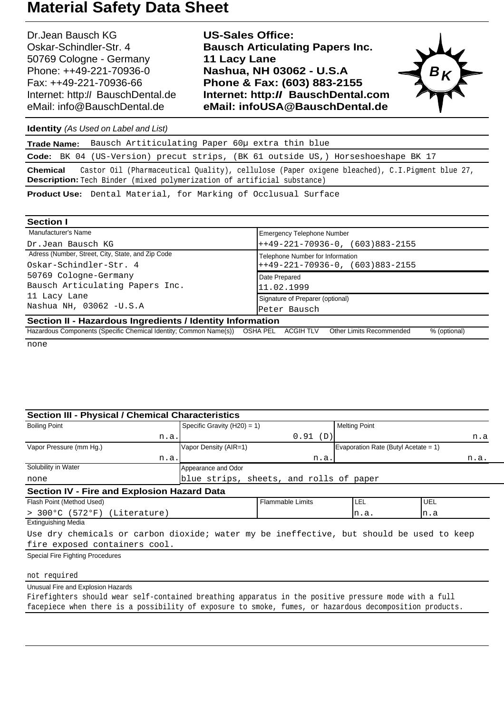Dr.Jean Bausch KG Oskar-Schindler-Str. 4 50769 Cologne - Germany Phone: ++49-221-70936-0 Fax: ++49-221-70936-66 Internet: http:// BauschDental.de eMail: [info@BauschDental.de](mailto:info@BauschDental.de)

**US-Sales Office: Bausch Articulating Papers Inc. 11 Lacy Lane Nashua, NH 03062 - U.S.A Phone & Fax: (603) 883-2155 Internet: http:II BauschDental.com eMail: [infoUSA@BauschDental.de](mailto:infoUSA@BauschDental.de)**



**Identity** (As Used on Label and List)

**Trade Name:** Bausch Artiticulating Paper 60µ extra thin blue **Code:** BK 04 (US-Version) precut strips, (BK 61 outside US,) Horseshoeshape BK 17 Castor Oil (Pharmaceutical Quality), cellulose (Paper oxigene bleached), C.I.Pigment blue 27, Description: Tech Binder (mixed polymerization of artificial substance) **Chemical**

**Product Use:** Dental Material, for Marking of Occlusual Surface

| <b>Section I</b>                                                                     |                                                 |  |  |  |
|--------------------------------------------------------------------------------------|-------------------------------------------------|--|--|--|
| Manufacturer's Name                                                                  | <b>Emergency Telephone Number</b>               |  |  |  |
| Dr.Jean Bausch KG                                                                    | $++49-221-70936-0, (603)883-2155$               |  |  |  |
| Adress (Number, Street, City, State, and Zip Code                                    | Telephone Number for Information                |  |  |  |
| Oskar-Schindler-Str. 4                                                               | $++49-221-70936-0, (603)883-2155$               |  |  |  |
| 50769 Cologne-Germany                                                                | Date Prepared                                   |  |  |  |
| Bausch Articulating Papers Inc.<br>11 Lacy Lane                                      | 11.02.1999                                      |  |  |  |
|                                                                                      | Signature of Preparer (optional)                |  |  |  |
| Nashua NH, 03062 - U.S.A                                                             | Peter Bausch                                    |  |  |  |
| Section II - Hazardous Ingredients / Identity Information                            |                                                 |  |  |  |
| Hazardous Components (Specific Chemical Identity; Common Name(s)) OSHA PEL ACGIH TLV | <b>Other Limits Recommended</b><br>% (optional) |  |  |  |

none

| <b>Section III - Physical / Chemical Characteristics</b>                                 |                                                |                                         |                                      |      |  |
|------------------------------------------------------------------------------------------|------------------------------------------------|-----------------------------------------|--------------------------------------|------|--|
| <b>Boiling Point</b>                                                                     | Specific Gravity $(H20) = 1$ )                 |                                         | <b>Melting Point</b>                 |      |  |
| n.a.                                                                                     | 0.91<br>(D)                                    |                                         |                                      | n.a  |  |
| Vapor Pressure (mm Hg.)                                                                  | Vapor Density (AIR=1)                          |                                         | Evaporation Rate (Butyl Acetate = 1) |      |  |
| n.a.                                                                                     |                                                | n.a.                                    |                                      | n.a. |  |
| Solubility in Water                                                                      | Appearance and Odor                            |                                         |                                      |      |  |
| none                                                                                     |                                                | blue strips, sheets, and rolls of paper |                                      |      |  |
| <b>Section IV - Fire and Explosion Hazard Data</b>                                       |                                                |                                         |                                      |      |  |
| Flash Point (Method Used)                                                                | <b>Flammable Limits</b><br><b>UEL</b><br>I LEL |                                         |                                      |      |  |
| > 300°C (572°F) (Literature)                                                             |                                                |                                         | n.a.                                 | In.a |  |
| <b>Extinguishing Media</b>                                                               |                                                |                                         |                                      |      |  |
| Use dry chemicals or carbon dioxide; water my be ineffective, but should be used to keep |                                                |                                         |                                      |      |  |
| fire exposed containers cool.                                                            |                                                |                                         |                                      |      |  |
| <b>Special Fire Fighting Procedures</b>                                                  |                                                |                                         |                                      |      |  |
|                                                                                          |                                                |                                         |                                      |      |  |
| not required                                                                             |                                                |                                         |                                      |      |  |
| Unusual Fire and Explosion Hazards                                                       |                                                |                                         |                                      |      |  |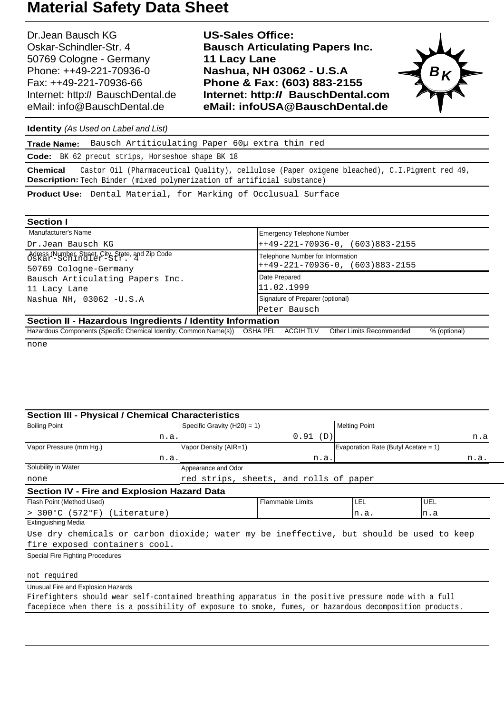Dr.Jean Bausch KG Oskar-Schindler-Str. 4 50769 Cologne - Germany Phone: ++49-221-70936-0 Fax: ++49-221-70936-66 Internet: http:// BauschDental.de eMail: [info@BauschDental.de](mailto:info@BauschDental.de)

**US-Sales Office: Bausch Articulating Papers Inc. 11 Lacy Lane Nashua, NH 03062 - U.S.A Phone & Fax: (603) 883-2155 Internet: http:II BauschDental.com eMail: [infoUSA@BauschDental.de](mailto:infoUSA@BauschDental.de)**



**Identity** (As Used on Label and List)

**Trade Name:** Bausch Artiticulating Paper 60µ extra thin red

**Code:** BK 62 precut strips, Horseshoe shape BK 18

Castor Oil (Pharmaceutical Quality), cellulose (Paper oxigene bleached), C.I.Pigment red 49, Description: Tech Binder (mixed polymerization of artificial substance) **Chemical**

**Product Use:** Dental Material, for Marking of Occlusual Surface

| <b>Section I</b>                                                                                                                                                                    |                                                                       |  |  |  |
|-------------------------------------------------------------------------------------------------------------------------------------------------------------------------------------|-----------------------------------------------------------------------|--|--|--|
| Manufacturer's Name                                                                                                                                                                 | <b>Emergency Telephone Number</b>                                     |  |  |  |
| Dr.Jean Bausch KG                                                                                                                                                                   | $++49-221-70936-0, (603)883-2155$                                     |  |  |  |
| Adress (Number, Street, City, State, and Zip Code<br>Oskar-Schindler-Str. 4<br>50769 Cologne-Germany<br>Bausch Articulating Papers Inc.<br>11 Lacy Lane<br>Nashua NH, 03062 - U.S.A | Telephone Number for Information<br>$++49-221-70936-0, (603)883-2155$ |  |  |  |
|                                                                                                                                                                                     | Date Prepared                                                         |  |  |  |
|                                                                                                                                                                                     | 11.02.1999                                                            |  |  |  |
|                                                                                                                                                                                     | Signature of Preparer (optional)                                      |  |  |  |
|                                                                                                                                                                                     | Peter Bausch                                                          |  |  |  |
| Section II - Hazardous Ingredients / Identity Information                                                                                                                           |                                                                       |  |  |  |
| Hazardous Components (Specific Chemical Identity; Common Name(s)) OSHA PEL ACGIH TLV                                                                                                | <b>Other Limits Recommended</b><br>% (optional)                       |  |  |  |

none

| <b>Section III - Physical / Chemical Characteristics</b>                                 |                                              |                                        |     |                                      |      |
|------------------------------------------------------------------------------------------|----------------------------------------------|----------------------------------------|-----|--------------------------------------|------|
| <b>Boiling Point</b>                                                                     | Specific Gravity $(H20) = 1$ )               |                                        |     | <b>Melting Point</b>                 |      |
| n.a.                                                                                     |                                              | 0.91(D)                                | n.a |                                      |      |
| Vapor Pressure (mm Hg.)                                                                  | Vapor Density (AIR=1)                        |                                        |     | Evaporation Rate (Butyl Acetate = 1) |      |
| n.a.                                                                                     |                                              | n.a.                                   |     |                                      | n.a. |
| Solubility in Water                                                                      | Appearance and Odor                          |                                        |     |                                      |      |
| none                                                                                     |                                              | red strips, sheets, and rolls of paper |     |                                      |      |
| <b>Section IV - Fire and Explosion Hazard Data</b>                                       |                                              |                                        |     |                                      |      |
| Flash Point (Method Used)                                                                | <b>Flammable Limits</b><br><b>UEL</b><br>LEL |                                        |     |                                      |      |
| > 300°C (572°F) (Literature)                                                             | n.a.<br>n.a                                  |                                        |     |                                      |      |
| <b>Extinguishing Media</b>                                                               |                                              |                                        |     |                                      |      |
| Use dry chemicals or carbon dioxide; water my be ineffective, but should be used to keep |                                              |                                        |     |                                      |      |
| fire exposed containers cool.                                                            |                                              |                                        |     |                                      |      |
| Special Fire Fighting Procedures                                                         |                                              |                                        |     |                                      |      |
| not required                                                                             |                                              |                                        |     |                                      |      |
| Unusual Fire and Explosion Hazards                                                       |                                              |                                        |     |                                      |      |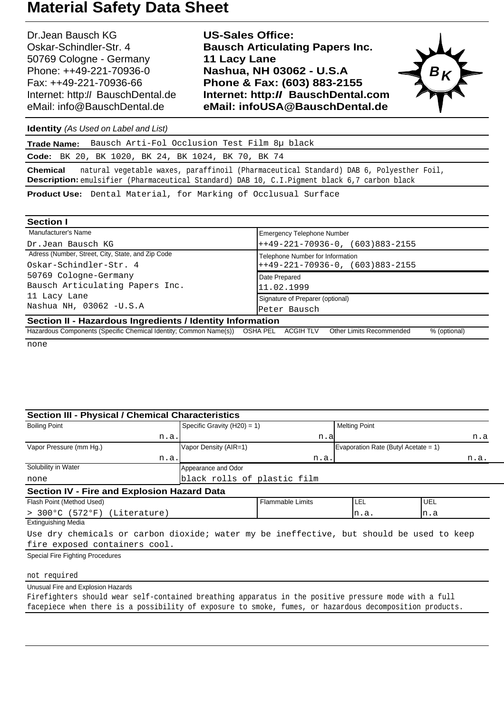Dr.Jean Bausch KG Oskar-Schindler-Str. 4 50769 Cologne - Germany Phone: ++49-221-70936-0 Fax: ++49-221-70936-66 Internet: http:// BauschDental.de eMail: [info@BauschDental.de](mailto:info@BauschDental.de)

**US-Sales Office: Bausch Articulating Papers Inc. 11 Lacy Lane Nashua, NH 03062 - U.S.A Phone & Fax: (603) 883-2155 Internet: http:II BauschDental.com eMail: [infoUSA@BauschDental.de](mailto:infoUSA@BauschDental.de)**



**Identity** (As Used on Label and List)

|          | Trade Name: Bausch Arti-Fol Occlusion Test Film 8µ black                                            |
|----------|-----------------------------------------------------------------------------------------------------|
|          | <b>Code:</b> BK 20, BK 1020, BK 24, BK 1024, BK 70, BK 74                                           |
| Chemical | natural vegetable waxes, paraffinoil (Pharmaceutical Standard) DAB 6, Polyesther Foil,              |
|          | <b>Description:</b> emulsifier (Pharmaceutical Standard) DAB 10, C.I.Pigment black 6,7 carbon black |
|          |                                                                                                     |

**Product Use:** Dental Material, for Marking of Occlusual Surface

| <b>Section I</b>                                                                                   |                                                 |  |  |
|----------------------------------------------------------------------------------------------------|-------------------------------------------------|--|--|
| Manufacturer's Name                                                                                | <b>Emergency Telephone Number</b>               |  |  |
| Dr.Jean Bausch KG                                                                                  | $++49-221-70936-0, (603)883-2155$               |  |  |
| Adress (Number, Street, City, State, and Zip Code                                                  | Telephone Number for Information                |  |  |
| Oskar-Schindler-Str. 4<br>50769 Cologne-Germany<br>Bausch Articulating Papers Inc.<br>11 Lacy Lane | $++49-221-70936-0, (603)883-2155$               |  |  |
|                                                                                                    | Date Prepared                                   |  |  |
|                                                                                                    | 11.02.1999                                      |  |  |
|                                                                                                    | Signature of Preparer (optional)                |  |  |
| Nashua NH, 03062 - U.S.A                                                                           | Peter Bausch                                    |  |  |
| Section II - Hazardous Ingredients / Identity Information                                          |                                                 |  |  |
| Hazardous Components (Specific Chemical Identity; Common Name(s)) OSHA PEL ACGIH TLV               | <b>Other Limits Recommended</b><br>% (optional) |  |  |

none

| <b>Section III - Physical / Chemical Characteristics</b>                                 |                                                     |      |                                      |      |  |
|------------------------------------------------------------------------------------------|-----------------------------------------------------|------|--------------------------------------|------|--|
| <b>Boiling Point</b>                                                                     | Specific Gravity $(H20) = 1$ )                      |      | <b>Melting Point</b>                 |      |  |
| n.a.                                                                                     |                                                     | n.a  | n.a                                  |      |  |
| Vapor Pressure (mm Hg.)                                                                  | Vapor Density (AIR=1)                               |      | Evaporation Rate (Butyl Acetate = 1) |      |  |
| n.a.                                                                                     |                                                     | n.a. |                                      | n.a. |  |
| Solubility in Water                                                                      | Appearance and Odor                                 |      |                                      |      |  |
| none                                                                                     | black rolls of plastic film                         |      |                                      |      |  |
| <b>Section IV - Fire and Explosion Hazard Data</b>                                       |                                                     |      |                                      |      |  |
| Flash Point (Method Used)                                                                | <b>Flammable Limits</b><br><b>UEL</b><br><b>LEL</b> |      |                                      |      |  |
| > 300°C (572°F) (Literature)                                                             |                                                     |      | n.a.                                 | In.a |  |
| <b>Extinguishing Media</b>                                                               |                                                     |      |                                      |      |  |
| Use dry chemicals or carbon dioxide; water my be ineffective, but should be used to keep |                                                     |      |                                      |      |  |
| fire exposed containers cool.                                                            |                                                     |      |                                      |      |  |
| <b>Special Fire Fighting Procedures</b>                                                  |                                                     |      |                                      |      |  |
|                                                                                          |                                                     |      |                                      |      |  |
| not required                                                                             |                                                     |      |                                      |      |  |
| Unusual Fire and Explosion Hazards                                                       |                                                     |      |                                      |      |  |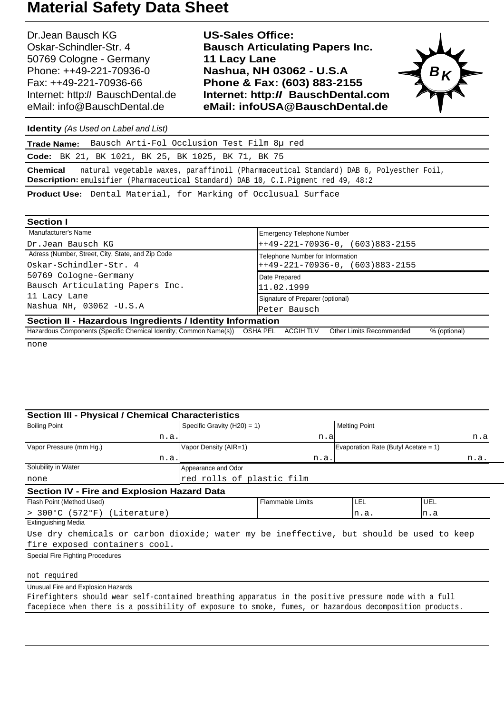Dr.Jean Bausch KG Oskar-Schindler-Str. 4 50769 Cologne - Germany Phone: ++49-221-70936-0 Fax: ++49-221-70936-66 Internet: http:II BauschDental.de eMail: [info@BauschDental.de](mailto:info@BauschDental.de)

**US-Sales Office: Bausch Articulating Papers Inc. 11 Lacy Lane Nashua, NH 03062 - U.S.A Phone & Fax: (603) 883-2155 Internet: http:II BauschDental.com eMail: [infoUSA@BauschDental.de](mailto:infoUSA@BauschDental.de)**



**Identity** (As Used on Label and List)

| Trade Name: Bausch Arti-Fol Occlusion Test Film 8µ red                                                                                                                                              |  |
|-----------------------------------------------------------------------------------------------------------------------------------------------------------------------------------------------------|--|
| <b>Code:</b> BK 21, BK 1021, BK 25, BK 1025, BK 71, BK 75                                                                                                                                           |  |
| <b>Chemical</b> natural vegetable waxes, paraffinoil (Pharmaceutical Standard) DAB 6, Polyesther Foil,<br><b>Description:</b> emulsifier (Pharmaceutical Standard) DAB 10, C.I.Pigment red 49, 48:2 |  |
| <b>Product Use:</b> Dental Material, for Marking of Occlusual Surface                                                                                                                               |  |

Dr.Jean Bausch KG Manufacturer's Name Oskar-Schindler-Str. 4 50769 Cologne-Germany Bausch Articulating Papers Inc. 11 Lacy Lane Nashua NH, 03062 -U.S.A Adress (Number, Street, City, State, and Zip Code ++49-221-70936-0, (603)883-2155 Emergency Telephone Number ++49-221-70936-0, (603)883-2155 Telephone Number for Information 11.02.1999 Date Prepared Peter Bausch Signature of Preparer (optional) Hazardous Components (Specific Chemical Identity; Common Name(s)) OSHA PEL ACGIH TLV Other Limits Recommended % (optional) **Section I Section II - Hazardous Ingredients / Identity Information**

none

| <b>Section III - Physical / Chemical Characteristics</b>                                                                  |                                |      |                                      |      |  |
|---------------------------------------------------------------------------------------------------------------------------|--------------------------------|------|--------------------------------------|------|--|
| <b>Boiling Point</b>                                                                                                      | Specific Gravity $(H20) = 1$ ) |      | <b>Melting Point</b>                 |      |  |
| n.a.                                                                                                                      |                                | n.a  | n.a                                  |      |  |
| Vapor Pressure (mm Hq.)                                                                                                   | Vapor Density (AIR=1)          |      | Evaporation Rate (Butyl Acetate = 1) |      |  |
| n.a.                                                                                                                      |                                | n.a. | n.a.                                 |      |  |
| Solubility in Water                                                                                                       | Appearance and Odor            |      |                                      |      |  |
| none                                                                                                                      | red rolls of plastic film      |      |                                      |      |  |
| <b>Section IV - Fire and Explosion Hazard Data</b>                                                                        |                                |      |                                      |      |  |
| Flash Point (Method Used)<br><b>Flammable Limits</b><br><b>LEL</b>                                                        |                                |      |                                      | UEL  |  |
| > 300°C (572°F) (Literature)                                                                                              |                                |      | n.a.                                 | In.a |  |
| <b>Extinguishing Media</b>                                                                                                |                                |      |                                      |      |  |
| Use dry chemicals or carbon dioxide; water my be ineffective, but should be used to keep<br>fire exposed containers cool. |                                |      |                                      |      |  |
| Special Fire Fighting Procedures                                                                                          |                                |      |                                      |      |  |
| not required                                                                                                              |                                |      |                                      |      |  |
| Unusual Fire and Explosion Hazards                                                                                        |                                |      |                                      |      |  |
|                                                                                                                           |                                |      |                                      |      |  |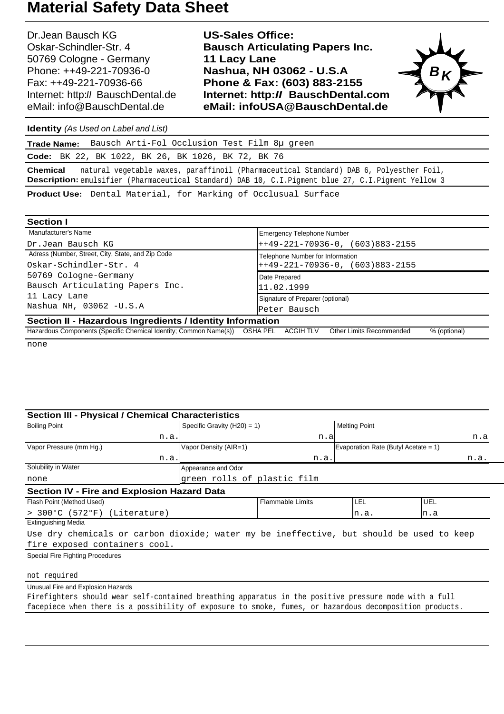Dr.Jean Bausch KG Oskar-Schindler-Str. 4 50769 Cologne - Germany Phone: ++49-221-70936-0 Fax: ++49-221-70936-66 Internet: http:// BauschDental.de eMail: [info@BauschDental.de](mailto:info@BauschDental.de)

**US-Sales Office: Bausch Articulating Papers Inc. 11 Lacy Lane Nashua, NH 03062 - U.S.A Phone & Fax: (603) 883-2155 Internet: http:II BauschDental.com eMail: [infoUSA@BauschDental.de](mailto:infoUSA@BauschDental.de)**



**Identity** (As Used on Label and List)

| Bausch Arti-Fol Occlusion Test Film 8µ green<br><b>Trade Name:</b>                                         |
|------------------------------------------------------------------------------------------------------------|
| <b>Code:</b> BK 22, BK 1022, BK 26, BK 1026, BK 72, BK 76                                                  |
| natural vegetable waxes, paraffinoil (Pharmaceutical Standard) DAB 6, Polyesther Foil,<br>Chemical         |
| <b>Description:</b> emulsifier (Pharmaceutical Standard) DAB 10, C.I.Pigment blue 27, C.I.Pigment Yellow 3 |
|                                                                                                            |

**Product Use:** Dental Material, for Marking of Occlusual Surface

| <b>Section I</b>                                                                                   |                                          |  |  |
|----------------------------------------------------------------------------------------------------|------------------------------------------|--|--|
| Manufacturer's Name                                                                                | <b>Emergency Telephone Number</b>        |  |  |
| Dr.Jean Bausch KG                                                                                  | $+49-221-70936-0, (603)883-2155$         |  |  |
| Adress (Number, Street, City, State, and Zip Code                                                  | Telephone Number for Information         |  |  |
| Oskar-Schindler-Str. 4<br>50769 Cologne-Germany<br>Bausch Articulating Papers Inc.<br>11 Lacy Lane | $++49-221-70936-0, (603)883-2155$        |  |  |
|                                                                                                    | Date Prepared                            |  |  |
|                                                                                                    | 11.02.1999                               |  |  |
|                                                                                                    | Signature of Preparer (optional)         |  |  |
| Nashua NH, 03062 - U.S.A                                                                           | Peter Bausch                             |  |  |
| Section II - Hazardous Ingredients / Identity Information                                          |                                          |  |  |
| Hazardous Components (Specific Chemical Identity; Common Name(s)) OSHA PEL ACGIH TLV               | Other Limits Recommended<br>% (optional) |  |  |

none

| <b>Section III - Physical / Chemical Characteristics</b>                                 |                                                     |      |                                      |      |  |
|------------------------------------------------------------------------------------------|-----------------------------------------------------|------|--------------------------------------|------|--|
| <b>Boiling Point</b>                                                                     | Specific Gravity $(H20) = 1$ )                      |      | <b>Melting Point</b>                 |      |  |
| n.a.                                                                                     |                                                     | n.a  | n.a                                  |      |  |
| Vapor Pressure (mm Hg.)                                                                  | Vapor Density (AIR=1)                               |      | Evaporation Rate (Butyl Acetate = 1) |      |  |
| n.a.                                                                                     |                                                     | n.a. |                                      | n.a. |  |
| Solubility in Water                                                                      | Appearance and Odor                                 |      |                                      |      |  |
| none                                                                                     | green rolls of plastic film                         |      |                                      |      |  |
| <b>Section IV - Fire and Explosion Hazard Data</b>                                       |                                                     |      |                                      |      |  |
| Flash Point (Method Used)                                                                | <b>Flammable Limits</b><br><b>UEL</b><br><b>LEL</b> |      |                                      |      |  |
| > 300°C (572°F) (Literature)                                                             |                                                     |      | n.a.                                 | In.a |  |
| <b>Extinguishing Media</b>                                                               |                                                     |      |                                      |      |  |
| Use dry chemicals or carbon dioxide; water my be ineffective, but should be used to keep |                                                     |      |                                      |      |  |
| fire exposed containers cool.                                                            |                                                     |      |                                      |      |  |
| <b>Special Fire Fighting Procedures</b>                                                  |                                                     |      |                                      |      |  |
|                                                                                          |                                                     |      |                                      |      |  |
| not required                                                                             |                                                     |      |                                      |      |  |
| Unusual Fire and Explosion Hazards                                                       |                                                     |      |                                      |      |  |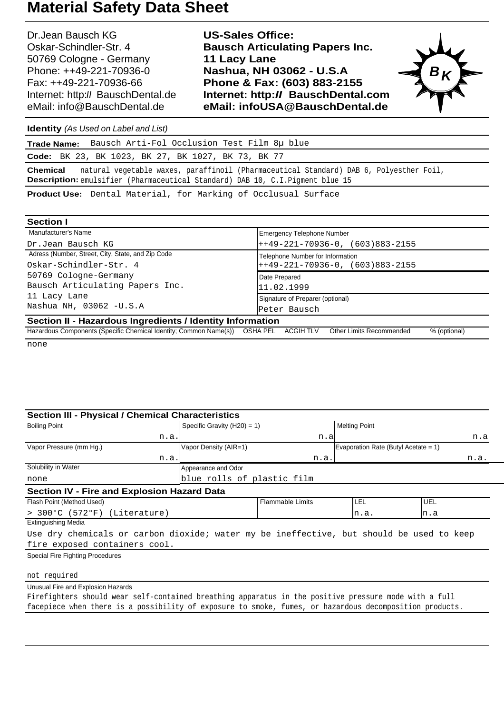Dr.Jean Bausch KG Oskar-Schindler-Str. 4 50769 Cologne - Germany Phone: ++49-221-70936-0 Fax: ++49-221-70936-66 Internet: http:II BauschDental.de eMail: [info@BauschDental.de](mailto:info@BauschDental.de)

**US-Sales Office: Bausch Articulating Papers Inc. 11 Lacy Lane Nashua, NH 03062 - U.S.A Phone & Fax: (603) 883-2155 Internet: http:II BauschDental.com eMail: [infoUSA@BauschDental.de](mailto:infoUSA@BauschDental.de)**



**Identity** (As Used on Label and List)

|                                                                                                                                                                                                | Trade Name: Bausch Arti-Fol Occlusion Test Film 8µ blue               |  |
|------------------------------------------------------------------------------------------------------------------------------------------------------------------------------------------------|-----------------------------------------------------------------------|--|
|                                                                                                                                                                                                | Code: BK 23, BK 1023, BK 27, BK 1027, BK 73, BK 77                    |  |
| <b>Chemical</b> matural vegetable waxes, paraffinoil (Pharmaceutical Standard) DAB 6, Polyesther Foil,<br><b>Description:</b> emulsifier (Pharmaceutical Standard) DAB 10, C.I.Pigment blue 15 |                                                                       |  |
|                                                                                                                                                                                                | <b>Product Use:</b> Dental Material, for Marking of Occlusual Surface |  |

| <b>Section I</b>                                                                     |                                                 |  |  |  |
|--------------------------------------------------------------------------------------|-------------------------------------------------|--|--|--|
| Manufacturer's Name                                                                  | <b>Emergency Telephone Number</b>               |  |  |  |
| Dr.Jean Bausch KG                                                                    | $++49-221-70936-0, (603)883-2155$               |  |  |  |
| Adress (Number, Street, City, State, and Zip Code                                    | Telephone Number for Information                |  |  |  |
| Oskar-Schindler-Str. 4                                                               | $+49-221-70936-0$ , (603)883-2155               |  |  |  |
| 50769 Cologne-Germany                                                                | Date Prepared                                   |  |  |  |
| Bausch Articulating Papers Inc.<br>11 Lacy Lane                                      | 11.02.1999                                      |  |  |  |
|                                                                                      | Signature of Preparer (optional)                |  |  |  |
| Nashua NH, 03062 - U.S.A                                                             | Peter Bausch                                    |  |  |  |
| Section II - Hazardous Ingredients / Identity Information                            |                                                 |  |  |  |
| Hazardous Components (Specific Chemical Identity; Common Name(s)) OSHA PEL ACGIH TLV | <b>Other Limits Recommended</b><br>% (optional) |  |  |  |

none

| <b>Section III - Physical / Chemical Characteristics</b>                                                                  |                                                        |      |                                      |            |  |      |
|---------------------------------------------------------------------------------------------------------------------------|--------------------------------------------------------|------|--------------------------------------|------------|--|------|
| <b>Boiling Point</b>                                                                                                      | <b>Melting Point</b><br>Specific Gravity $(H20) = 1$ ) |      |                                      |            |  |      |
| n.a.                                                                                                                      |                                                        | n.a  |                                      |            |  | n.a  |
| Vapor Pressure (mm Hg.)                                                                                                   | Vapor Density (AIR=1)                                  |      | Evaporation Rate (Butyl Acetate = 1) |            |  |      |
| n.a.                                                                                                                      |                                                        | n.a. |                                      |            |  | n.a. |
| Solubility in Water                                                                                                       | Appearance and Odor                                    |      |                                      |            |  |      |
| none                                                                                                                      | blue rolls of plastic film                             |      |                                      |            |  |      |
| <b>Section IV - Fire and Explosion Hazard Data</b>                                                                        |                                                        |      |                                      |            |  |      |
| Flash Point (Method Used)                                                                                                 | <b>Flammable Limits</b>                                |      | LEL                                  | <b>UEL</b> |  |      |
| > 300°C (572°F) (Literature)                                                                                              |                                                        |      | n.a.                                 | In.a       |  |      |
| <b>Extinguishing Media</b>                                                                                                |                                                        |      |                                      |            |  |      |
| Use dry chemicals or carbon dioxide; water my be ineffective, but should be used to keep<br>fire exposed containers cool. |                                                        |      |                                      |            |  |      |
| Special Fire Fighting Procedures                                                                                          |                                                        |      |                                      |            |  |      |
| not required                                                                                                              |                                                        |      |                                      |            |  |      |
| Unusual Fire and Explosion Hazards                                                                                        |                                                        |      |                                      |            |  |      |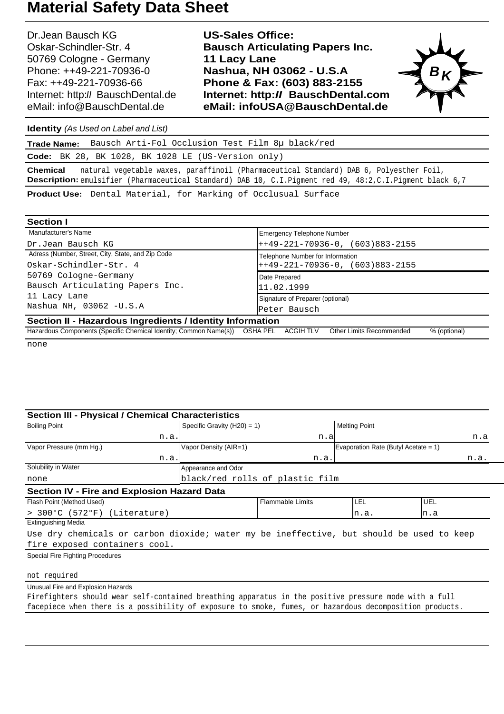Dr.Jean Bausch KG Oskar-Schindler-Str. 4 50769 Cologne - Germany Phone: ++49-221-70936-0 Fax: ++49-221-70936-66 Internet: http:// BauschDental.de eMail: [info@BauschDental.de](mailto:info@BauschDental.de)

**US-Sales Office: Bausch Articulating Papers Inc. 11 Lacy Lane Nashua, NH 03062 - U.S.A Phone & Fax: (603) 883-2155 Internet: http:II BauschDental.com eMail: [infoUSA@BauschDental.de](mailto:infoUSA@BauschDental.de)**



**Identity** (As Used on Label and List)

|          | <b>Trade Name:</b> Bausch Arti-Fol Occlusion Test Film 8u black/red                                              |
|----------|------------------------------------------------------------------------------------------------------------------|
|          | <b>Code:</b> BK 28, BK 1028, BK 1028 LE (US-Version only)                                                        |
| Chemical | natural vegetable waxes, paraffinoil (Pharmaceutical Standard) DAB 6, Polyesther Foil,                           |
|          | <b>Description:</b> emulsifier (Pharmaceutical Standard) DAB 10, C.I.Pigment red 49, 48:2, C.I.Pigment black 6,7 |

**Product Use:** Dental Material, for Marking of Occlusual Surface

| <b>Section I</b>                                                                     |                                                 |  |  |  |
|--------------------------------------------------------------------------------------|-------------------------------------------------|--|--|--|
| Manufacturer's Name                                                                  | <b>Emergency Telephone Number</b>               |  |  |  |
| Dr.Jean Bausch KG                                                                    | $+49-221-70936-0, (603)883-2155$                |  |  |  |
| Adress (Number, Street, City, State, and Zip Code                                    | Telephone Number for Information                |  |  |  |
| Oskar-Schindler-Str. 4                                                               | $+49-221-70936-0, (603)883-2155$                |  |  |  |
| 50769 Cologne-Germany                                                                | Date Prepared                                   |  |  |  |
| Bausch Articulating Papers Inc.<br>11 Lacy Lane                                      | 11.02.1999                                      |  |  |  |
|                                                                                      | Signature of Preparer (optional)                |  |  |  |
| Nashua NH, 03062 - U.S.A                                                             | Peter Bausch                                    |  |  |  |
| Section II - Hazardous Ingredients / Identity Information                            |                                                 |  |  |  |
| Hazardous Components (Specific Chemical Identity; Common Name(s)) OSHA PEL ACGIH TLV | <b>Other Limits Recommended</b><br>% (optional) |  |  |  |

none

| <b>Section III - Physical / Chemical Characteristics</b>                                                                  |                                 |       |                                      |      |  |
|---------------------------------------------------------------------------------------------------------------------------|---------------------------------|-------|--------------------------------------|------|--|
| <b>Boiling Point</b>                                                                                                      | Specific Gravity $(H20) = 1$ )  |       | <b>Melting Point</b>                 |      |  |
| n.a.                                                                                                                      |                                 | n.al  |                                      | n.a  |  |
| Vapor Pressure (mm Hg.)                                                                                                   | Vapor Density (AIR=1)           |       | Evaporation Rate (Butyl Acetate = 1) |      |  |
| n.a.                                                                                                                      |                                 | n.a.  |                                      | n.a. |  |
| Solubility in Water                                                                                                       | Appearance and Odor             |       |                                      |      |  |
| none                                                                                                                      | black/red rolls of plastic film |       |                                      |      |  |
| <b>Section IV - Fire and Explosion Hazard Data</b>                                                                        |                                 |       |                                      |      |  |
| Flash Point (Method Used)                                                                                                 | <b>Flammable Limits</b>         | I LEL | <b>UEL</b>                           |      |  |
| > 300°C (572°F) (Literature)                                                                                              |                                 | n.a.  | In.a                                 |      |  |
| <b>Extinguishing Media</b>                                                                                                |                                 |       |                                      |      |  |
| Use dry chemicals or carbon dioxide; water my be ineffective, but should be used to keep<br>fire exposed containers cool. |                                 |       |                                      |      |  |
| Special Fire Fighting Procedures                                                                                          |                                 |       |                                      |      |  |
| not required                                                                                                              |                                 |       |                                      |      |  |
| Unusual Fire and Explosion Hazards                                                                                        |                                 |       |                                      |      |  |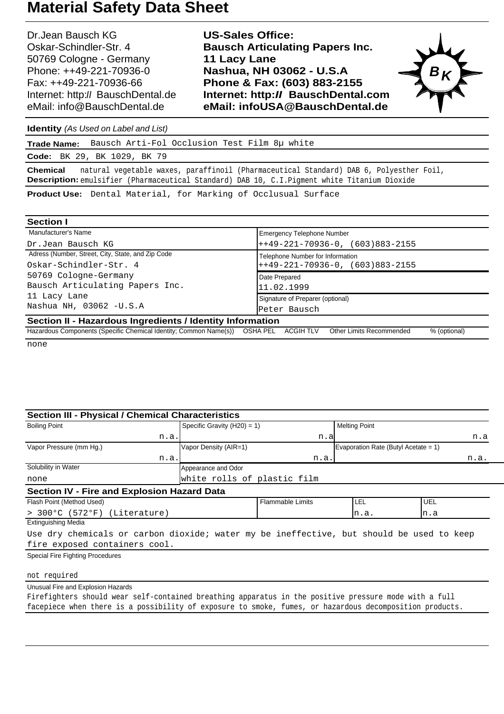Dr.Jean Bausch KG Oskar-Schindler-Str. 4 50769 Cologne - Germany Phone: ++49-221-70936-0 Fax: ++49-221-70936-66 Internet: http:II BauschDental.de eMail: [info@BauschDental.de](mailto:info@BauschDental.de)

**US-Sales Office: Bausch Articulating Papers Inc. 11 Lacy Lane Nashua, NH 03062 - U.S.A Phone & Fax: (603) 883-2155 Internet: http:II BauschDental.com eMail: [infoUSA@BauschDental.de](mailto:infoUSA@BauschDental.de)**



**Identity** (As Used on Label and List)

**Trade Name:** Bausch Arti-Fol Occlusion Test Film 8µ white

**Code:** BK 29, BK 1029, BK 79

natural vegetable waxes, paraffinoil (Pharmaceutical Standard) DAB 6, Polyesther Foil, Description: emulsifier (Pharmaceutical Standard) DAB 10, C.I.Pigment white Titanium Dioxide **Chemical**

**Product Use:** Dental Material, for Marking of Occlusual Surface

| <b>Section I</b>                                                                     |                                                 |  |  |  |
|--------------------------------------------------------------------------------------|-------------------------------------------------|--|--|--|
| Manufacturer's Name                                                                  | <b>Emergency Telephone Number</b>               |  |  |  |
| Dr.Jean Bausch KG                                                                    | $++49-221-70936-0, (603)883-2155$               |  |  |  |
| Adress (Number, Street, City, State, and Zip Code                                    | Telephone Number for Information                |  |  |  |
| Oskar-Schindler-Str. 4                                                               | $+49-221-70936-0, (603)883-2155$                |  |  |  |
| 50769 Cologne-Germany                                                                | Date Prepared                                   |  |  |  |
| Bausch Articulating Papers Inc.                                                      | 11.02.1999                                      |  |  |  |
| 11 Lacy Lane                                                                         | Signature of Preparer (optional)                |  |  |  |
| Nashua NH, 03062 - U.S.A                                                             | Peter Bausch                                    |  |  |  |
| Section II - Hazardous Ingredients / Identity Information                            |                                                 |  |  |  |
| Hazardous Components (Specific Chemical Identity; Common Name(s)) OSHA PEL ACGIH TLV | <b>Other Limits Recommended</b><br>% (optional) |  |  |  |

none

| <b>Section III - Physical / Chemical Characteristics</b>                                 |                                                        |      |                                      |      |  |      |
|------------------------------------------------------------------------------------------|--------------------------------------------------------|------|--------------------------------------|------|--|------|
| <b>Boiling Point</b>                                                                     | <b>Melting Point</b><br>Specific Gravity $(H20) = 1$ ) |      |                                      |      |  |      |
| n.a.                                                                                     |                                                        | n.a  |                                      |      |  | n.a  |
| Vapor Pressure (mm Hg.)                                                                  | Vapor Density (AIR=1)                                  |      | Evaporation Rate (Butyl Acetate = 1) |      |  |      |
| n.a.                                                                                     |                                                        | n.a. |                                      |      |  | n.a. |
| Solubility in Water                                                                      | Appearance and Odor                                    |      |                                      |      |  |      |
| none                                                                                     | white rolls of plastic film                            |      |                                      |      |  |      |
| <b>Section IV - Fire and Explosion Hazard Data</b>                                       |                                                        |      |                                      |      |  |      |
| Flash Point (Method Used)                                                                | <b>Flammable Limits</b>                                |      | I LEL                                | UEL  |  |      |
| > 300°C (572°F) (Literature)                                                             |                                                        |      | n.a.                                 | In.a |  |      |
| <b>Extinguishing Media</b>                                                               |                                                        |      |                                      |      |  |      |
| Use dry chemicals or carbon dioxide; water my be ineffective, but should be used to keep |                                                        |      |                                      |      |  |      |
| fire exposed containers cool.                                                            |                                                        |      |                                      |      |  |      |
| Special Fire Fighting Procedures                                                         |                                                        |      |                                      |      |  |      |
| not required                                                                             |                                                        |      |                                      |      |  |      |
| Unusual Fire and Explosion Hazards                                                       |                                                        |      |                                      |      |  |      |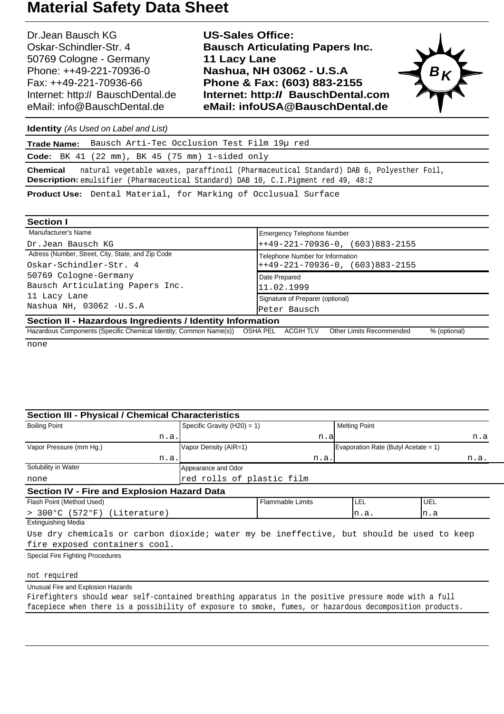Dr.Jean Bausch KG Oskar-Schindler-Str. 4 50769 Cologne - Germany Phone: ++49-221-70936-0 Fax: ++49-221-70936-66 Internet: http:// BauschDental.de eMail: [info@BauschDental.de](mailto:info@BauschDental.de)

**US-Sales Office: Bausch Articulating Papers Inc. 11 Lacy Lane Nashua, NH 03062 - U.S.A Phone & Fax: (603) 883-2155 Internet: http:II BauschDental.com eMail: [infoUSA@BauschDental.de](mailto:infoUSA@BauschDental.de)**



**Identity** (As Used on Label and List)

**Trade Name:** Bausch Arti-Tec Occlusion Test Film 19µ red

**Code:** BK 41 (22 mm), BK 45 (75 mm) 1-sided only

natural vegetable waxes, paraffinoil (Pharmaceutical Standard) DAB 6, Polyesther Foil, Description: emulsifier (Pharmaceutical Standard) DAB 10, C.I.Pigment red 49, 48:2 **Chemical**

**Product Use:** Dental Material, for Marking of Occlusual Surface

| <b>Section I</b>                                                                     |                                                 |  |  |  |
|--------------------------------------------------------------------------------------|-------------------------------------------------|--|--|--|
| Manufacturer's Name                                                                  | <b>Emergency Telephone Number</b>               |  |  |  |
| Dr.Jean Bausch KG                                                                    | $+49-221-70936-0, (603)883-2155$                |  |  |  |
| Adress (Number, Street, City, State, and Zip Code                                    | Telephone Number for Information                |  |  |  |
| Oskar-Schindler-Str. 4                                                               | $+49-221-70936-0, (603)883-2155$                |  |  |  |
| 50769 Cologne-Germany                                                                | Date Prepared                                   |  |  |  |
| Bausch Articulating Papers Inc.<br>11 Lacy Lane                                      | 11.02.1999                                      |  |  |  |
|                                                                                      | Signature of Preparer (optional)                |  |  |  |
| Nashua NH, 03062 - U.S.A                                                             | Peter Bausch                                    |  |  |  |
| Section II - Hazardous Ingredients / Identity Information                            |                                                 |  |  |  |
| Hazardous Components (Specific Chemical Identity; Common Name(s)) OSHA PEL ACGIH TLV | <b>Other Limits Recommended</b><br>% (optional) |  |  |  |

none

| <b>Section III - Physical / Chemical Characteristics</b>                                 |                                |            |                                      |      |  |
|------------------------------------------------------------------------------------------|--------------------------------|------------|--------------------------------------|------|--|
| <b>Boiling Point</b>                                                                     | Specific Gravity $(H20) = 1$ ) |            | <b>Melting Point</b>                 |      |  |
| n.a.                                                                                     |                                | n.a        |                                      | n.a  |  |
| Vapor Pressure (mm Hg.)                                                                  | Vapor Density (AIR=1)          |            | Evaporation Rate (Butyl Acetate = 1) |      |  |
| n.a.                                                                                     |                                | n.a.       |                                      | n.a. |  |
| Solubility in Water                                                                      | Appearance and Odor            |            |                                      |      |  |
| none                                                                                     | red rolls of plastic film      |            |                                      |      |  |
| <b>Section IV - Fire and Explosion Hazard Data</b>                                       |                                |            |                                      |      |  |
| Flash Point (Method Used)                                                                | <b>Flammable Limits</b>        | <b>LEL</b> | <b>UEL</b>                           |      |  |
| > 300°C (572°F) (Literature)                                                             |                                | n.a.       | In.a                                 |      |  |
| <b>Extinguishing Media</b>                                                               |                                |            |                                      |      |  |
| Use dry chemicals or carbon dioxide; water my be ineffective, but should be used to keep |                                |            |                                      |      |  |
| fire exposed containers cool.                                                            |                                |            |                                      |      |  |
| <b>Special Fire Fighting Procedures</b>                                                  |                                |            |                                      |      |  |
|                                                                                          |                                |            |                                      |      |  |
| not required                                                                             |                                |            |                                      |      |  |
| Unusual Fire and Explosion Hazards                                                       |                                |            |                                      |      |  |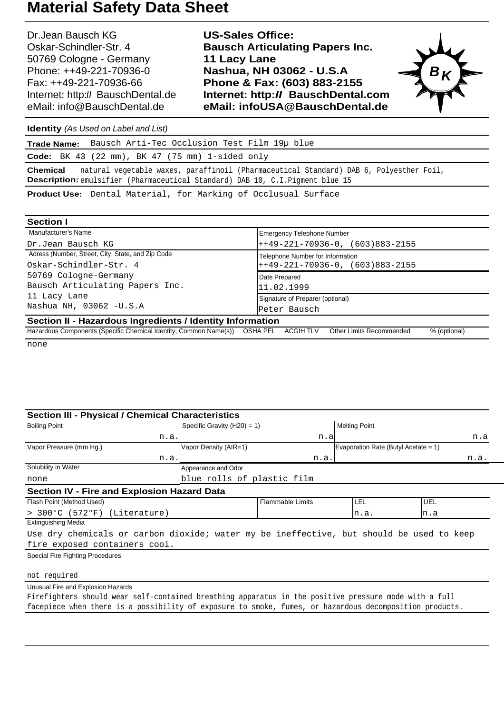Dr.Jean Bausch KG Oskar-Schindler-Str. 4 50769 Cologne - Germany Phone: ++49-221-70936-0 Fax: ++49-221-70936-66 Internet: http:// BauschDental.de eMail: [info@BauschDental.de](mailto:info@BauschDental.de)

**US-Sales Office: Bausch Articulating Papers Inc. 11 Lacy Lane Nashua, NH 03062 - U.S.A Phone & Fax: (603) 883-2155 Internet: http:II BauschDental.com eMail: [infoUSA@BauschDental.de](mailto:infoUSA@BauschDental.de)**



**Identity** (As Used on Label and List)

| <b>Trade Name:</b> | Bausch Arti-Tec Occlusion Test Film 19µ blue                                                           |
|--------------------|--------------------------------------------------------------------------------------------------------|
|                    | <b>Code:</b> BK 43 (22 mm), BK 47 (75 mm) 1-sided only                                                 |
|                    | <b>Chemical</b> natural vegetable waxes, paraffinoil (Pharmaceutical Standard) DAB 6, Polyesther Foil, |
|                    | <b>Description:</b> emulsifier (Pharmaceutical Standard) DAB 10, C.I.Pigment blue 15                   |
|                    |                                                                                                        |

**Product Use:** Dental Material, for Marking of Occlusual Surface

| <b>Section I</b>                                                                     |                                                 |  |  |  |
|--------------------------------------------------------------------------------------|-------------------------------------------------|--|--|--|
| Manufacturer's Name                                                                  | <b>Emergency Telephone Number</b>               |  |  |  |
| Dr.Jean Bausch KG                                                                    | $++49-221-70936-0, (603)883-2155$               |  |  |  |
| Adress (Number, Street, City, State, and Zip Code                                    | Telephone Number for Information                |  |  |  |
| Oskar-Schindler-Str. 4                                                               | $++49-221-70936-0, (603)883-2155$               |  |  |  |
| 50769 Cologne-Germany                                                                | Date Prepared                                   |  |  |  |
| Bausch Articulating Papers Inc.<br>11 Lacy Lane                                      | 11.02.1999                                      |  |  |  |
|                                                                                      | Signature of Preparer (optional)                |  |  |  |
| Nashua NH, 03062 - U.S.A                                                             | Peter Bausch                                    |  |  |  |
| Section II - Hazardous Ingredients / Identity Information                            |                                                 |  |  |  |
| Hazardous Components (Specific Chemical Identity; Common Name(s)) OSHA PEL ACGIH TLV | <b>Other Limits Recommended</b><br>% (optional) |  |  |  |

none

| <b>Section III - Physical / Chemical Characteristics</b>                                 |                                       |      |                                      |     |      |  |
|------------------------------------------------------------------------------------------|---------------------------------------|------|--------------------------------------|-----|------|--|
| <b>Boiling Point</b>                                                                     | Specific Gravity $(H20) = 1$ )        |      | <b>Melting Point</b>                 |     |      |  |
| n.a.                                                                                     |                                       | n.a  |                                      | n.a |      |  |
| Vapor Pressure (mm Hg.)                                                                  | Vapor Density (AIR=1)                 |      | Evaporation Rate (Butyl Acetate = 1) |     |      |  |
| n.a.                                                                                     |                                       | n.a. |                                      |     | n.a. |  |
| Solubility in Water                                                                      | Appearance and Odor                   |      |                                      |     |      |  |
| none                                                                                     | blue rolls of plastic film            |      |                                      |     |      |  |
| <b>Section IV - Fire and Explosion Hazard Data</b>                                       |                                       |      |                                      |     |      |  |
| Flash Point (Method Used)                                                                | <b>Flammable Limits</b><br>UEL<br>LEL |      |                                      |     |      |  |
| > 300°C (572°F) (Literature)                                                             | n.a.                                  |      | In.a                                 |     |      |  |
| <b>Extinguishing Media</b>                                                               |                                       |      |                                      |     |      |  |
| Use dry chemicals or carbon dioxide; water my be ineffective, but should be used to keep |                                       |      |                                      |     |      |  |
| fire exposed containers cool.                                                            |                                       |      |                                      |     |      |  |
| <b>Special Fire Fighting Procedures</b>                                                  |                                       |      |                                      |     |      |  |
|                                                                                          |                                       |      |                                      |     |      |  |
| not required                                                                             |                                       |      |                                      |     |      |  |
| Unusual Fire and Explosion Hazards                                                       |                                       |      |                                      |     |      |  |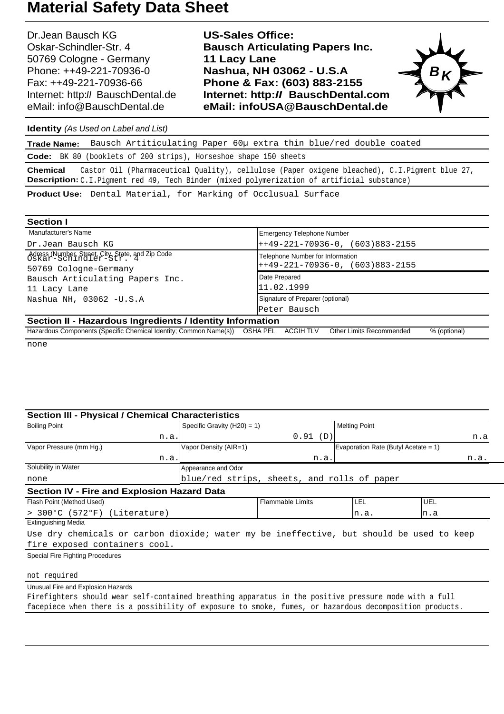Dr.Jean Bausch KG Oskar-Schindler-Str. 4 50769 Cologne - Germany Phone: ++49-221-70936-0 Fax: ++49-221-70936-66 Internet: http:// BauschDental.de eMail: [info@BauschDental.de](mailto:info@BauschDental.de)

**US-Sales Office: Bausch Articulating Papers Inc. 11 Lacy Lane Nashua, NH 03062 - U.S.A Phone & Fax: (603) 883-2155 Internet: http:II BauschDental.com eMail: [infoUSA@BauschDental.de](mailto:infoUSA@BauschDental.de)**



**Identity** (As Used on Label and List)

**Trade Name:** Bausch Artiticulating Paper 60µ extra thin blue/red double coated

**Code:** BK 80 (booklets of 200 strips), Horseshoe shape 150 sheets

Castor Oil (Pharmaceutical Quality), cellulose (Paper oxigene bleached), C.I.Pigment blue 27, Description: C.I.Pigment red 49, Tech Binder (mixed polymerization of artificial substance) **Chemical**

**Product Use:** Dental Material, for Marking of Occlusual Surface

| <b>Section I</b>                                                                                                                                                                    |                                                                      |  |  |  |
|-------------------------------------------------------------------------------------------------------------------------------------------------------------------------------------|----------------------------------------------------------------------|--|--|--|
| Manufacturer's Name                                                                                                                                                                 | <b>Emergency Telephone Number</b>                                    |  |  |  |
| Dr.Jean Bausch KG                                                                                                                                                                   | $+49-221-70936-0, (603)883-2155$                                     |  |  |  |
| Adress (Number, Street, City, State, and Zip Code<br>Oskar-Schindler-Str. 4<br>50769 Cologne-Germany<br>Bausch Articulating Papers Inc.<br>11 Lacy Lane<br>Nashua NH, 03062 - U.S.A | Telephone Number for Information<br>$+49-221-70936-0, (603)883-2155$ |  |  |  |
|                                                                                                                                                                                     | Date Prepared<br>11.02.1999                                          |  |  |  |
|                                                                                                                                                                                     | Signature of Preparer (optional)<br>Peter Bausch                     |  |  |  |
| Section II - Hazardous Ingredients / Identity Information                                                                                                                           |                                                                      |  |  |  |
| Hazardous Components (Specific Chemical Identity; Common Name(s)) OSHA PEL ACGIH TLV                                                                                                | Other Limits Recommended<br>% (optional)                             |  |  |  |

none

| <b>Section III - Physical / Chemical Characteristics</b> |                                                    |                                      |                                                                                                                                                                 |
|----------------------------------------------------------|----------------------------------------------------|--------------------------------------|-----------------------------------------------------------------------------------------------------------------------------------------------------------------|
|                                                          |                                                    |                                      |                                                                                                                                                                 |
| 0.91<br>(D)                                              |                                                    | n.a                                  |                                                                                                                                                                 |
| Vapor Density (AIR=1)                                    |                                                    | Evaporation Rate (Butyl Acetate = 1) |                                                                                                                                                                 |
|                                                          | n.a.                                               |                                      | n.a.                                                                                                                                                            |
| Appearance and Odor                                      |                                                    |                                      |                                                                                                                                                                 |
|                                                          |                                                    |                                      |                                                                                                                                                                 |
|                                                          |                                                    |                                      |                                                                                                                                                                 |
|                                                          | <b>Flammable Limits</b>                            | I LEL                                | <b>UEL</b>                                                                                                                                                      |
| > 300°C (572°F) (Literature)<br>n.a.                     |                                                    | In.a                                 |                                                                                                                                                                 |
|                                                          |                                                    |                                      |                                                                                                                                                                 |
|                                                          |                                                    |                                      |                                                                                                                                                                 |
|                                                          |                                                    |                                      |                                                                                                                                                                 |
|                                                          |                                                    |                                      |                                                                                                                                                                 |
|                                                          |                                                    |                                      |                                                                                                                                                                 |
|                                                          |                                                    |                                      |                                                                                                                                                                 |
|                                                          |                                                    |                                      |                                                                                                                                                                 |
|                                                          | <b>Section IV - Fire and Explosion Hazard Data</b> | Specific Gravity ( $H20$ ) = 1)      | <b>Melting Point</b><br>blue/red strips, sheets, and rolls of paper<br>Use dry chemicals or carbon dioxide; water my be ineffective, but should be used to keep |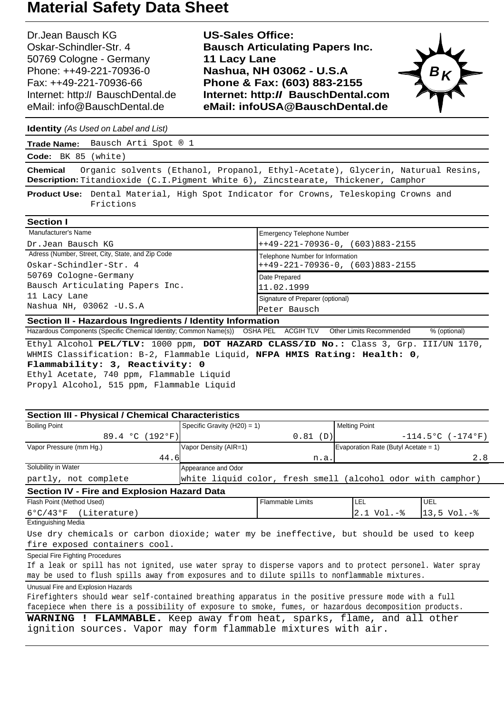Dr.Jean Bausch KG Oskar-Schindler-Str. 4 50769 Cologne - Germany Phone: ++49-221-70936-0 Fax: ++49-221-70936-66 Internet: http:// BauschDental.de eMail: [info@BauschDental.de](mailto:info@BauschDental.de)

**US-Sales Office: Bausch Articulating Papers Inc. 11 Lacy Lane Nashua, NH 03062 - U.S.A Phone & Fax: (603) 883-2155 Internet: http:II BauschDental.com eMail: [infoUSA@BauschDental.de](mailto:infoUSA@BauschDental.de)**



**Identity** (As Used on Label and List)

**Trade Name:** Bausch Arti Spot ® 1

**Code:** BK 85 (white)

Organic solvents (Ethanol, Propanol, Ethyl-Acetate), Glycerin, Naturual Resins, Description: Titandioxide (C.I.Pigment White 6), Zincstearate, Thickener, Camphor **Chemical**

Product Use: Dental Material, High Spot Indicator for Crowns, Teleskoping Crowns and Frictions

| <b>Section I</b>                                          |                                   |  |  |  |
|-----------------------------------------------------------|-----------------------------------|--|--|--|
| Manufacturer's Name                                       | <b>Emergency Telephone Number</b> |  |  |  |
| Dr.Jean Bausch KG                                         | $++49-221-70936-0, (603)883-2155$ |  |  |  |
| Adress (Number, Street, City, State, and Zip Code         | Telephone Number for Information  |  |  |  |
| Oskar-Schindler-Str. 4                                    | $++49-221-70936-0, (603)883-2155$ |  |  |  |
| 50769 Cologne-Germany                                     | Date Prepared                     |  |  |  |
| Bausch Articulating Papers Inc.                           | 11.02.1999                        |  |  |  |
| 11 Lacy Lane                                              | Signature of Preparer (optional)  |  |  |  |
| Nashua NH, 03062 - U.S.A                                  | Peter Bausch                      |  |  |  |
| Section II - Hazardous Ingredients / Identity Information |                                   |  |  |  |

Ethyl Alcohol **PEL/TLV:** 1000 ppm, **DOT HAZARD CLASS/ID No.:** Class 3, Grp. III/UN 1170, Hazardous Components (Specific Chemical Identity; Common Name(s)) OSHA PEL ACGIH TLV Other Limits Recommended % (optional)

WHMIS Classification: B-2, Flammable Liquid, **NFPA HMIS Rating: Health: 0**,

**Flammability: 3, Reactivity: 0** Ethyl Acetate, 740 ppm, Flammable Liquid Propyl Alcohol, 515 ppm, Flammable Liquid

| <b>Section III - Physical / Chemical Characteristics</b>                                                                                          |                                                                                                         |                         |                                                             |                          |  |
|---------------------------------------------------------------------------------------------------------------------------------------------------|---------------------------------------------------------------------------------------------------------|-------------------------|-------------------------------------------------------------|--------------------------|--|
| <b>Boiling Point</b>                                                                                                                              | Specific Gravity $(H20) = 1$ )                                                                          |                         | <b>Melting Point</b>                                        |                          |  |
| 89.4 °C (192°F)                                                                                                                                   |                                                                                                         | 0.81(D)                 |                                                             | $-114.5$ °C ( $-174$ °F) |  |
| Vapor Pressure (mm Hg.)                                                                                                                           | Vapor Density (AIR=1)                                                                                   |                         | Evaporation Rate (Butyl Acetate = 1)                        |                          |  |
| 44.6                                                                                                                                              |                                                                                                         | n.a.                    |                                                             | 2.8                      |  |
| Solubility in Water                                                                                                                               | Appearance and Odor                                                                                     |                         |                                                             |                          |  |
| partly, not complete                                                                                                                              |                                                                                                         |                         | white liquid color, fresh smell (alcohol odor with camphor) |                          |  |
| <b>Section IV - Fire and Explosion Hazard Data</b>                                                                                                |                                                                                                         |                         |                                                             |                          |  |
| Flash Point (Method Used)                                                                                                                         |                                                                                                         | <b>Flammable Limits</b> | <b>LEL</b>                                                  | <b>UEL</b>               |  |
| 6°C/43°F (Literature)                                                                                                                             |                                                                                                         |                         | 2.1 Vol.-%                                                  | $13,5 \text{ Vol.} -$    |  |
| <b>Extinguishing Media</b>                                                                                                                        |                                                                                                         |                         |                                                             |                          |  |
| Use dry chemicals or carbon dioxide; water my be ineffective, but should be used to keep                                                          |                                                                                                         |                         |                                                             |                          |  |
| fire exposed containers cool.                                                                                                                     |                                                                                                         |                         |                                                             |                          |  |
| <b>Special Fire Fighting Procedures</b>                                                                                                           |                                                                                                         |                         |                                                             |                          |  |
| If a leak or spill has not ignited, use water spray to disperse vapors and to protect personel. Water spray                                       |                                                                                                         |                         |                                                             |                          |  |
| may be used to flush spills away from exposures and to dilute spills to nonflammable mixtures.                                                    |                                                                                                         |                         |                                                             |                          |  |
| Unusual Fire and Explosion Hazards                                                                                                                |                                                                                                         |                         |                                                             |                          |  |
| Firefighters should wear self-contained breathing apparatus in the positive pressure mode with a full                                             |                                                                                                         |                         |                                                             |                          |  |
|                                                                                                                                                   | facepiece when there is a possibility of exposure to smoke, fumes, or hazardous decomposition products. |                         |                                                             |                          |  |
| FLAMMABLE. Keep away from heat, sparks, flame, and all other<br><b>WARNING !</b><br>ignition sources. Vapor may form flammable mixtures with air. |                                                                                                         |                         |                                                             |                          |  |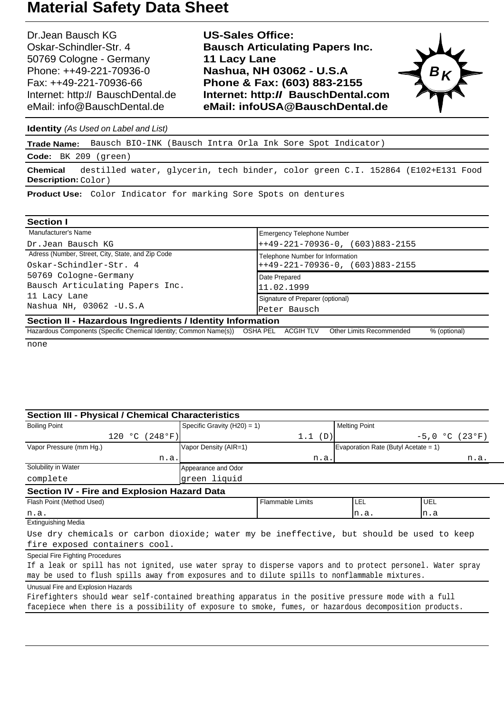Dr.Jean Bausch KG Oskar-Schindler-Str. 4 50769 Cologne - Germany Phone: ++49-221-70936-0 Fax: ++49-221-70936-66 Internet: http:// BauschDental.de eMail: [info@BauschDental.de](mailto:info@BauschDental.de)

**US-Sales Office: Bausch Articulating Papers Inc. 11 Lacy Lane Nashua, NH 03062 - U.S.A Phone & Fax: (603) 883-2155 Internet: http:II BauschDental.com eMail: [infoUSA@BauschDental.de](mailto:infoUSA@BauschDental.de)**



**Identity** (As Used on Label and List)

**Trade Name:** Bausch BIO-INK (Bausch Intra Orla Ink Sore Spot Indicator)

**Code:** BK 209 (green)

destilled water, glycerin, tech binder, color green C.I. 152864 (E102+E131 Food Description: Color ) **Chemical**

**Product Use:** Color Indicator for marking Sore Spots on dentures

| <b>Section I</b>                                                                                   |                                          |  |  |  |  |
|----------------------------------------------------------------------------------------------------|------------------------------------------|--|--|--|--|
| Manufacturer's Name                                                                                | <b>Emergency Telephone Number</b>        |  |  |  |  |
| Dr.Jean Bausch KG                                                                                  | $+49-221-70936-0, (603)883-2155$         |  |  |  |  |
| Adress (Number, Street, City, State, and Zip Code                                                  | Telephone Number for Information         |  |  |  |  |
| Oskar-Schindler-Str. 4<br>50769 Cologne-Germany<br>Bausch Articulating Papers Inc.<br>11 Lacy Lane | $+49-221-70936-0, (603)883-2155$         |  |  |  |  |
|                                                                                                    | Date Prepared                            |  |  |  |  |
|                                                                                                    | 11.02.1999                               |  |  |  |  |
|                                                                                                    | Signature of Preparer (optional)         |  |  |  |  |
| Nashua NH, 03062 -U.S.A                                                                            | Peter Bausch                             |  |  |  |  |
| Section II - Hazardous Ingredients / Identity Information                                          |                                          |  |  |  |  |
| Hazardous Components (Specific Chemical Identity; Common Name(s)) OSHA PEL ACGIH TLV               | Other Limits Recommended<br>% (optional) |  |  |  |  |

none

| <b>Section III - Physical / Chemical Characteristics</b>                                                                  |                                |                         |                                      |                  |
|---------------------------------------------------------------------------------------------------------------------------|--------------------------------|-------------------------|--------------------------------------|------------------|
| <b>Boiling Point</b>                                                                                                      | Specific Gravity $(H20) = 1$ ) |                         | <b>Melting Point</b>                 |                  |
| 120 °C (248°F)                                                                                                            |                                | 1.1(D)                  |                                      | $-5,0$ °C (23°F) |
| Vapor Pressure (mm Hg.)                                                                                                   | Vapor Density (AIR=1)          |                         | Evaporation Rate (Butyl Acetate = 1) |                  |
| n.a.                                                                                                                      |                                | n.a.                    |                                      | n.a.             |
| Solubility in Water                                                                                                       | Appearance and Odor            |                         |                                      |                  |
| complete                                                                                                                  | green liquid                   |                         |                                      |                  |
| <b>Section IV - Fire and Explosion Hazard Data</b>                                                                        |                                |                         |                                      |                  |
| Flash Point (Method Used)                                                                                                 |                                | <b>Flammable Limits</b> | <b>LEL</b>                           | <b>UEL</b>       |
| n.a.                                                                                                                      |                                |                         | n.a.                                 | In.a             |
| <b>Extinguishing Media</b>                                                                                                |                                |                         |                                      |                  |
| Use dry chemicals or carbon dioxide; water my be ineffective, but should be used to keep<br>fire exposed containers cool. |                                |                         |                                      |                  |
| Special Fire Fighting Procedures                                                                                          |                                |                         |                                      |                  |
| If a leak or spill has not ignited, use water spray to disperse vapors and to protect personel. Water spray               |                                |                         |                                      |                  |
| may be used to flush spills away from exposures and to dilute spills to nonflammable mixtures.                            |                                |                         |                                      |                  |
| Unusual Fire and Explosion Hazards                                                                                        |                                |                         |                                      |                  |
| Firefighters should wear self-contained breathing apparatus in the positive pressure mode with a full                     |                                |                         |                                      |                  |
| facepiece when there is a possibility of exposure to smoke, fumes, or hazardous decomposition products.                   |                                |                         |                                      |                  |
|                                                                                                                           |                                |                         |                                      |                  |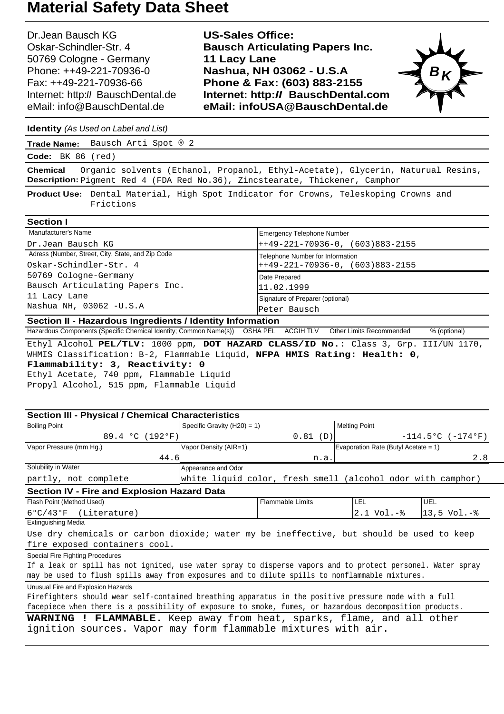Dr.Jean Bausch KG Oskar-Schindler-Str. 4 50769 Cologne - Germany Phone: ++49-221-70936-0 Fax: ++49-221-70936-66 Internet: http:// BauschDental.de eMail: [info@BauschDental.de](mailto:info@BauschDental.de)

**US-Sales Office: Bausch Articulating Papers Inc. 11 Lacy Lane Nashua, NH 03062 - U.S.A Phone & Fax: (603) 883-2155 Internet: http:II BauschDental.com eMail: [infoUSA@BauschDental.de](mailto:infoUSA@BauschDental.de)**



**Identity** (As Used on Label and List)

**Trade Name:** Bausch Arti Spot ® 2

**Code:** BK 86 (red)

Organic solvents (Ethanol, Propanol, Ethyl-Acetate), Glycerin, Naturual Resins, Description: Pigment Red 4 (FDA Red No.36), Zincstearate, Thickener, Camphor **Chemical**

Product Use: Dental Material, High Spot Indicator for Crowns, Teleskoping Crowns and Frictions

| <b>Section I</b>                                          |                                   |  |  |  |
|-----------------------------------------------------------|-----------------------------------|--|--|--|
| Manufacturer's Name                                       | <b>Emergency Telephone Number</b> |  |  |  |
| Dr.Jean Bausch KG                                         | $++49-221-70936-0, (603)883-2155$ |  |  |  |
| Adress (Number, Street, City, State, and Zip Code         | Telephone Number for Information  |  |  |  |
| Oskar-Schindler-Str. 4                                    | $+49-221-70936-0, (603)883-2155$  |  |  |  |
| 50769 Cologne-Germany                                     | Date Prepared                     |  |  |  |
| Bausch Articulating Papers Inc.                           | 11.02.1999                        |  |  |  |
| 11 Lacy Lane                                              | Signature of Preparer (optional)  |  |  |  |
| Nashua NH, 03062 - U.S.A                                  | Peter Bausch                      |  |  |  |
| Section II - Hazardous Ingredients / Identity Information |                                   |  |  |  |

Hazardous Components (Specific Chemical Identity; Common Name(s)) OSHA PEL ACGIH TLV Other Limits Recommended % (optional)

Ethyl Alcohol **PEL/TLV:** 1000 ppm, **DOT HAZARD CLASS/ID No.:** Class 3, Grp. III/UN 1170, WHMIS Classification: B-2, Flammable Liquid, **NFPA HMIS Rating: Health: 0**,

**Flammability: 3, Reactivity: 0** Ethyl Acetate, 740 ppm, Flammable Liquid Propyl Alcohol, 515 ppm, Flammable Liquid

| <b>Section III - Physical / Chemical Characteristics</b>                                                                                |                                |                         |                                                             |                                        |
|-----------------------------------------------------------------------------------------------------------------------------------------|--------------------------------|-------------------------|-------------------------------------------------------------|----------------------------------------|
| <b>Boiling Point</b>                                                                                                                    | Specific Gravity $(H20) = 1$ ) |                         | <b>Melting Point</b>                                        |                                        |
| 89.4 °C (192°F)                                                                                                                         |                                | 0.81(D)                 |                                                             | $-114.5^{\circ}$ C ( $-174^{\circ}$ F) |
| Vapor Pressure (mm Hg.)                                                                                                                 | Vapor Density (AIR=1)          |                         | Evaporation Rate (Butyl Acetate = 1)                        |                                        |
| 44.6                                                                                                                                    |                                | n.a.                    |                                                             | 2.8                                    |
| Solubility in Water                                                                                                                     | Appearance and Odor            |                         |                                                             |                                        |
| partly, not complete                                                                                                                    |                                |                         | white liquid color, fresh smell (alcohol odor with camphor) |                                        |
| Section IV - Fire and Explosion Hazard Data                                                                                             |                                |                         |                                                             |                                        |
| Flash Point (Method Used)                                                                                                               |                                | <b>Flammable Limits</b> | <b>LEL</b>                                                  | <b>UEL</b>                             |
| 6°C/43°F (Literature)                                                                                                                   |                                |                         | $2.1 \text{ Vol.} -\text{\%}$                               | $13,5 \text{ Vol.} -$                  |
| <b>Extinguishing Media</b>                                                                                                              |                                |                         |                                                             |                                        |
| Use dry chemicals or carbon dioxide; water my be ineffective, but should be used to keep                                                |                                |                         |                                                             |                                        |
| fire exposed containers cool.                                                                                                           |                                |                         |                                                             |                                        |
| <b>Special Fire Fighting Procedures</b>                                                                                                 |                                |                         |                                                             |                                        |
| If a leak or spill has not ignited, use water spray to disperse vapors and to protect personel. Water spray                             |                                |                         |                                                             |                                        |
| may be used to flush spills away from exposures and to dilute spills to nonflammable mixtures.                                          |                                |                         |                                                             |                                        |
| Unusual Fire and Explosion Hazards                                                                                                      |                                |                         |                                                             |                                        |
| Firefighters should wear self-contained breathing apparatus in the positive pressure mode with a full                                   |                                |                         |                                                             |                                        |
| facepiece when there is a possibility of exposure to smoke, fumes, or hazardous decomposition products.                                 |                                |                         |                                                             |                                        |
| WARNING ! FLAMMABLE. Keep away from heat, sparks, flame, and all other<br>ignition sources. Vapor may form flammable mixtures with air. |                                |                         |                                                             |                                        |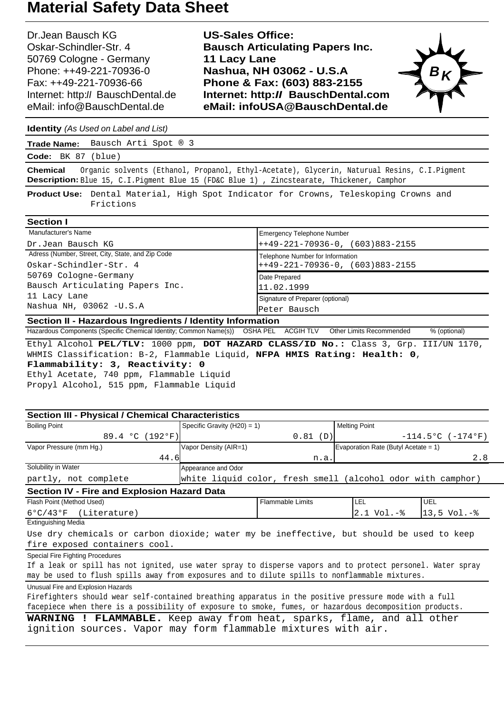Dr.Jean Bausch KG Oskar-Schindler-Str. 4 50769 Cologne - Germany Phone: ++49-221-70936-0 Fax: ++49-221-70936-66 Internet: http:// BauschDental.de eMail: [info@BauschDental.de](mailto:info@BauschDental.de)

**US-Sales Office: Bausch Articulating Papers Inc. 11 Lacy Lane Nashua, NH 03062 - U.S.A Phone & Fax: (603) 883-2155 Internet: http:II BauschDental.com eMail: [infoUSA@BauschDental.de](mailto:infoUSA@BauschDental.de)**



**Identity** (As Used on Label and List)

**Trade Name:** Bausch Arti Spot ® 3

**Code:** BK 87 (blue)

Organic solvents (Ethanol, Propanol, Ethyl-Acetate), Glycerin, Naturual Resins, C.I.Pigment Description: Blue 15, C.I.Pigment Blue 15 (FD&C Blue 1) , Zincstearate, Thickener, Camphor **Chemical**

Product Use: Dental Material, High Spot Indicator for Crowns, Teleskoping Crowns and Frictions

| <b>Section I</b>                                  |                                   |  |  |
|---------------------------------------------------|-----------------------------------|--|--|
| Manufacturer's Name                               | <b>Emergency Telephone Number</b> |  |  |
| Dr.Jean Bausch KG                                 | $++49-221-70936-0, (603)883-2155$ |  |  |
| Adress (Number, Street, City, State, and Zip Code | Telephone Number for Information  |  |  |
| Oskar-Schindler-Str. 4                            | $++49-221-70936-0, (603)883-2155$ |  |  |
| 50769 Cologne-Germany                             | Date Prepared                     |  |  |
| Bausch Articulating Papers Inc.                   | 11.02.1999                        |  |  |
| 11 Lacy Lane                                      | Signature of Preparer (optional)  |  |  |
| Nashua NH, 03062 - U.S.A                          |                                   |  |  |
|                                                   | Peter Bausch                      |  |  |

Ethyl Alcohol **PEL/TLV:** 1000 ppm, **DOT HAZARD CLASS/ID No.:** Class 3, Grp. III/UN 1170, Hazardous Components (Specific Chemical Identity; Common Name(s)) OSHA PEL ACGIH TLV Other Limits Recommended % (optional)

WHMIS Classification: B-2, Flammable Liquid, **NFPA HMIS Rating: Health: 0**,

**Flammability: 3, Reactivity: 0** Ethyl Acetate, 740 ppm, Flammable Liquid Propyl Alcohol, 515 ppm, Flammable Liquid

| <b>Section III - Physical / Chemical Characteristics</b>                                                                                |                                |                         |                                                             |                                        |
|-----------------------------------------------------------------------------------------------------------------------------------------|--------------------------------|-------------------------|-------------------------------------------------------------|----------------------------------------|
| <b>Boiling Point</b>                                                                                                                    | Specific Gravity $(H20) = 1$ ) |                         | <b>Melting Point</b>                                        |                                        |
| 89.4 °C (192°F)                                                                                                                         |                                | 0.81(D)                 |                                                             | $-114.5^{\circ}$ C ( $-174^{\circ}$ F) |
| Vapor Pressure (mm Hg.)                                                                                                                 | Vapor Density (AIR=1)          |                         | Evaporation Rate (Butyl Acetate = 1)                        |                                        |
| 44.6                                                                                                                                    |                                | n.a.                    |                                                             | 2.8                                    |
| Solubility in Water                                                                                                                     | Appearance and Odor            |                         |                                                             |                                        |
| partly, not complete                                                                                                                    |                                |                         | white liquid color, fresh smell (alcohol odor with camphor) |                                        |
| <b>Section IV - Fire and Explosion Hazard Data</b>                                                                                      |                                |                         |                                                             |                                        |
| Flash Point (Method Used)                                                                                                               |                                | <b>Flammable Limits</b> | <b>LEL</b>                                                  | <b>UEL</b>                             |
| 6°C/43°F (Literature)                                                                                                                   |                                |                         | 2.1 Vol.-%                                                  | $13,5 \text{ Vol.}  \frac{8}{3}$       |
| <b>Extinguishing Media</b>                                                                                                              |                                |                         |                                                             |                                        |
| Use dry chemicals or carbon dioxide; water my be ineffective, but should be used to keep                                                |                                |                         |                                                             |                                        |
| fire exposed containers cool.                                                                                                           |                                |                         |                                                             |                                        |
| <b>Special Fire Fighting Procedures</b>                                                                                                 |                                |                         |                                                             |                                        |
| If a leak or spill has not ignited, use water spray to disperse vapors and to protect personel. Water spray                             |                                |                         |                                                             |                                        |
| may be used to flush spills away from exposures and to dilute spills to nonflammable mixtures.                                          |                                |                         |                                                             |                                        |
| Unusual Fire and Explosion Hazards                                                                                                      |                                |                         |                                                             |                                        |
| Firefighters should wear self-contained breathing apparatus in the positive pressure mode with a full                                   |                                |                         |                                                             |                                        |
| facepiece when there is a possibility of exposure to smoke, fumes, or hazardous decomposition products.                                 |                                |                         |                                                             |                                        |
| WARNING ! FLAMMABLE. Keep away from heat, sparks, flame, and all other<br>ignition sources. Vapor may form flammable mixtures with air. |                                |                         |                                                             |                                        |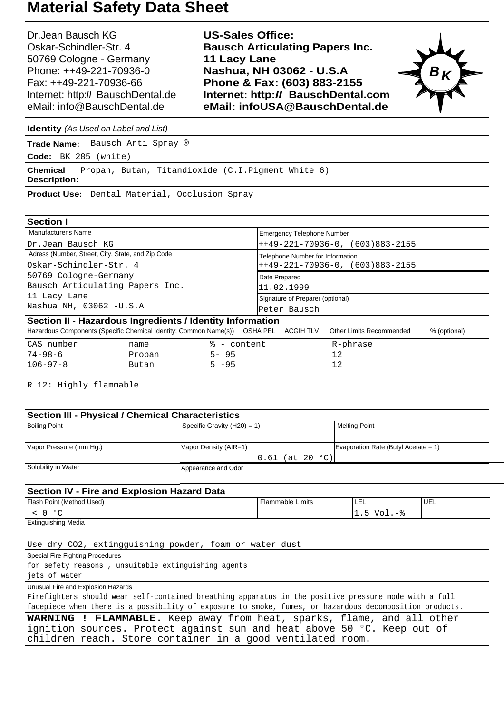Dr.Jean Bausch KG Oskar-Schindler-Str. 4 50769 Cologne - Germany Phone: ++49-221-70936-0 Fax: ++49-221-70936-66 Internet: http:// BauschDental.de eMail: [info@BauschDental.de](mailto:info@BauschDental.de)

**US-Sales Office: Bausch Articulating Papers Inc. 11 Lacy Lane Nashua, NH 03062 - U.S.A Phone & Fax: (603) 883-2155 Internet: http:II BauschDental.com eMail: [infoUSA@BauschDental.de](mailto:infoUSA@BauschDental.de)**



**Identity** (As Used on Label and List)

**Trade Name:** Bausch Arti Spray ®

**Code:** BK 285 (white)

**Chemical** Propan, Butan, Titandioxide (C.I.Pigment White 6) **Description:**

**Product Use:** Dental Material, Occlusion Spray

| <b>Section I</b>                                                                                                                                                                    |                                                                                      |          |                                   |                                    |                          |              |
|-------------------------------------------------------------------------------------------------------------------------------------------------------------------------------------|--------------------------------------------------------------------------------------|----------|-----------------------------------|------------------------------------|--------------------------|--------------|
| Manufacturer's Name                                                                                                                                                                 |                                                                                      |          | <b>Emergency Telephone Number</b> |                                    |                          |              |
| Dr.Jean Bausch KG                                                                                                                                                                   |                                                                                      |          |                                   | $+49-221-70936-0, (603)883-2155$   |                          |              |
| Adress (Number, Street, City, State, and Zip Code<br>Oskar-Schindler-Str. 4<br>50769 Cologne-Germany<br>Bausch Articulating Papers Inc.<br>11 Lacy Lane<br>Nashua NH, 03062 - U.S.A |                                                                                      |          | Telephone Number for Information  |                                    |                          |              |
|                                                                                                                                                                                     |                                                                                      |          |                                   | $++49-221-70936-0$ , (603)883-2155 |                          |              |
|                                                                                                                                                                                     |                                                                                      |          | Date Prepared                     |                                    |                          |              |
|                                                                                                                                                                                     |                                                                                      |          | 11.02.1999                        |                                    |                          |              |
|                                                                                                                                                                                     |                                                                                      |          | Signature of Preparer (optional)  |                                    |                          |              |
|                                                                                                                                                                                     |                                                                                      |          | Peter Bausch                      |                                    |                          |              |
|                                                                                                                                                                                     | Section II - Hazardous Ingredients / Identity Information                            |          |                                   |                                    |                          |              |
|                                                                                                                                                                                     | Hazardous Components (Specific Chemical Identity; Common Name(s)) OSHA PEL ACGIH TLV |          |                                   |                                    | Other Limits Recommended | % (optional) |
| CAS number                                                                                                                                                                          | name                                                                                 | °        | - content                         |                                    | R-phrase                 |              |
| $74 - 98 - 6$                                                                                                                                                                       | Propan                                                                               | $5 - 95$ |                                   |                                    | 12                       |              |
| $106 - 97 - 8$                                                                                                                                                                      | Butan                                                                                | $5 - 95$ |                                   |                                    | 12                       |              |

| <b>Section III - Physical / Chemical Characteristics</b>                                                |                                |                         |                                      |            |  |  |  |  |  |
|---------------------------------------------------------------------------------------------------------|--------------------------------|-------------------------|--------------------------------------|------------|--|--|--|--|--|
| <b>Boiling Point</b>                                                                                    | Specific Gravity $(H20) = 1$ ) |                         | <b>Melting Point</b>                 |            |  |  |  |  |  |
| Vapor Pressure (mm Hg.)                                                                                 | Vapor Density (AIR=1)          |                         | Evaporation Rate (Butyl Acetate = 1) |            |  |  |  |  |  |
|                                                                                                         |                                | $0.61$ (at 20 °C)       |                                      |            |  |  |  |  |  |
| Solubility in Water                                                                                     | Appearance and Odor            |                         |                                      |            |  |  |  |  |  |
| <b>Section IV - Fire and Explosion Hazard Data</b>                                                      |                                |                         |                                      |            |  |  |  |  |  |
| Flash Point (Method Used)                                                                               |                                | <b>Flammable Limits</b> | <b>LEL</b>                           | <b>UEL</b> |  |  |  |  |  |
| $\leq 0$ °C                                                                                             |                                | $1.5$ Vol.- $%$         |                                      |            |  |  |  |  |  |
| <b>Extinguishing Media</b>                                                                              |                                |                         |                                      |            |  |  |  |  |  |
|                                                                                                         |                                |                         |                                      |            |  |  |  |  |  |
| Use dry CO2, extingguishing powder, foam or water dust<br><b>Special Fire Fighting Procedures</b>       |                                |                         |                                      |            |  |  |  |  |  |
| for sefety reasons, unsuitable extinguishing agents                                                     |                                |                         |                                      |            |  |  |  |  |  |
| jets of water                                                                                           |                                |                         |                                      |            |  |  |  |  |  |
| Unusual Fire and Explosion Hazards                                                                      |                                |                         |                                      |            |  |  |  |  |  |
|                                                                                                         |                                |                         |                                      |            |  |  |  |  |  |
| Firefighters should wear self-contained breathing apparatus in the positive pressure mode with a full   |                                |                         |                                      |            |  |  |  |  |  |
| facepiece when there is a possibility of exposure to smoke, fumes, or hazardous decomposition products. |                                |                         |                                      |            |  |  |  |  |  |
| <b>WARNING ! FLAMMABLE.</b> Keep away from heat, sparks, flame, and all other                           |                                |                         |                                      |            |  |  |  |  |  |
| ignition sources. Protect against sun and heat above 50 °C. Keep out of                                 |                                |                         |                                      |            |  |  |  |  |  |
| children reach. Store container in a good ventilated room.                                              |                                |                         |                                      |            |  |  |  |  |  |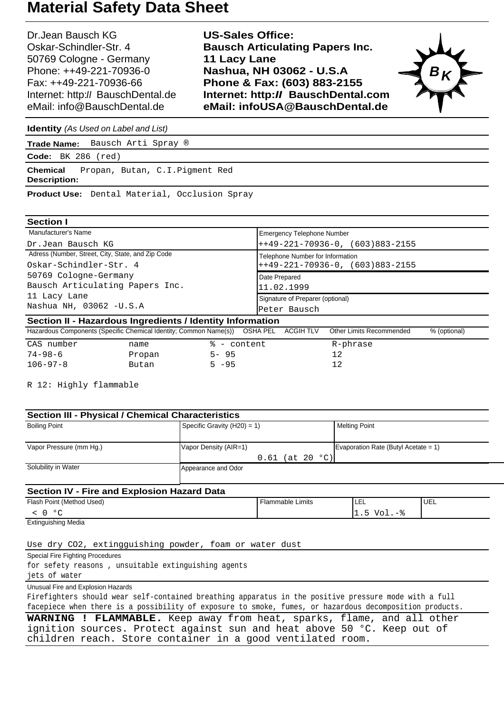Dr.Jean Bausch KG Oskar-Schindler-Str. 4 50769 Cologne - Germany Phone: ++49-221-70936-0 Fax: ++49-221-70936-66 Internet: http:// BauschDental.de eMail: [info@BauschDental.de](mailto:info@BauschDental.de)

**US-Sales Office: Bausch Articulating Papers Inc. 11 Lacy Lane Nashua, NH 03062 - U.S.A Phone & Fax: (603) 883-2155 Internet: http:II BauschDental.com eMail: [infoUSA@BauschDental.de](mailto:infoUSA@BauschDental.de)**



**Identity** (As Used on Label and List)

**Trade Name:** Bausch Arti Spray ®

**Code:** BK 286 (red)

**Chemical** Propan, Butan, C.I.Pigment Red **Description:**

**Product Use:** Dental Material, Occlusion Spray

| <b>Section I</b>                                                           |        |          |                                  |                                   |                                   |              |  |
|----------------------------------------------------------------------------|--------|----------|----------------------------------|-----------------------------------|-----------------------------------|--------------|--|
| Manufacturer's Name                                                        |        |          |                                  | <b>Emergency Telephone Number</b> |                                   |              |  |
| Dr.Jean Bausch KG                                                          |        |          |                                  |                                   | $++49-221-70936-0, (603)883-2155$ |              |  |
| Adress (Number, Street, City, State, and Zip Code                          |        |          |                                  | Telephone Number for Information  |                                   |              |  |
| Oskar-Schindler-Str. 4                                                     |        |          |                                  | $++49-221-70936-0, (603)883-2155$ |                                   |              |  |
| 50769 Cologne-Germany                                                      |        |          |                                  | Date Prepared                     |                                   |              |  |
| Bausch Articulating Papers Inc.                                            |        |          | 11.02.1999                       |                                   |                                   |              |  |
| 11 Lacy Lane                                                               |        |          | Signature of Preparer (optional) |                                   |                                   |              |  |
| Nashua NH, 03062 - U.S.A                                                   |        |          | Peter Bausch                     |                                   |                                   |              |  |
| Section II - Hazardous Ingredients / Identity Information                  |        |          |                                  |                                   |                                   |              |  |
| Hazardous Components (Specific Chemical Identity; Common Name(s)) OSHA PEL |        |          |                                  | ACGIH TLV                         | <b>Other Limits Recommended</b>   | % (optional) |  |
| CAS number                                                                 | name   | °        | - content                        |                                   | R-phrase                          |              |  |
| $74 - 98 - 6$                                                              | Propan | $5 - 95$ |                                  |                                   | 12                                |              |  |
| $106 - 97 - 8$                                                             | Butan  | $5 - 95$ |                                  |                                   | 12                                |              |  |

| <b>Section III - Physical / Chemical Characteristics</b>                                                                                                                                                               |                                |                         |                                      |            |  |  |  |  |  |
|------------------------------------------------------------------------------------------------------------------------------------------------------------------------------------------------------------------------|--------------------------------|-------------------------|--------------------------------------|------------|--|--|--|--|--|
| <b>Boiling Point</b>                                                                                                                                                                                                   | Specific Gravity $(H20) = 1$ ) |                         | <b>Melting Point</b>                 |            |  |  |  |  |  |
| Vapor Pressure (mm Hg.)                                                                                                                                                                                                | Vapor Density (AIR=1)          |                         | Evaporation Rate (Butyl Acetate = 1) |            |  |  |  |  |  |
|                                                                                                                                                                                                                        |                                | $0.61$ (at 20 °C)       |                                      |            |  |  |  |  |  |
| Solubility in Water                                                                                                                                                                                                    | Appearance and Odor            |                         |                                      |            |  |  |  |  |  |
| <b>Section IV - Fire and Explosion Hazard Data</b>                                                                                                                                                                     |                                |                         |                                      |            |  |  |  |  |  |
| Flash Point (Method Used)                                                                                                                                                                                              |                                | <b>Flammable Limits</b> | <b>LEL</b>                           | <b>UEL</b> |  |  |  |  |  |
| $\leq 0$ °C                                                                                                                                                                                                            |                                | $1.5 \text{ Vol.} -$    |                                      |            |  |  |  |  |  |
| <b>Extinguishing Media</b>                                                                                                                                                                                             |                                |                         |                                      |            |  |  |  |  |  |
| Use dry CO2, extingguishing powder, foam or water dust                                                                                                                                                                 |                                |                         |                                      |            |  |  |  |  |  |
| <b>Special Fire Fighting Procedures</b>                                                                                                                                                                                |                                |                         |                                      |            |  |  |  |  |  |
| for sefety reasons, unsuitable extinguishing agents                                                                                                                                                                    |                                |                         |                                      |            |  |  |  |  |  |
| jets of water                                                                                                                                                                                                          |                                |                         |                                      |            |  |  |  |  |  |
| Unusual Fire and Explosion Hazards                                                                                                                                                                                     |                                |                         |                                      |            |  |  |  |  |  |
| Firefighters should wear self-contained breathing apparatus in the positive pressure mode with a full                                                                                                                  |                                |                         |                                      |            |  |  |  |  |  |
| facepiece when there is a possibility of exposure to smoke, fumes, or hazardous decomposition products.                                                                                                                |                                |                         |                                      |            |  |  |  |  |  |
| <b>WARNING ! FLAMMABLE.</b> Keep away from heat, sparks, flame, and all other<br>ignition sources. Protect against sun and heat above 50 °C. Keep out of<br>children reach. Store container in a good ventilated room. |                                |                         |                                      |            |  |  |  |  |  |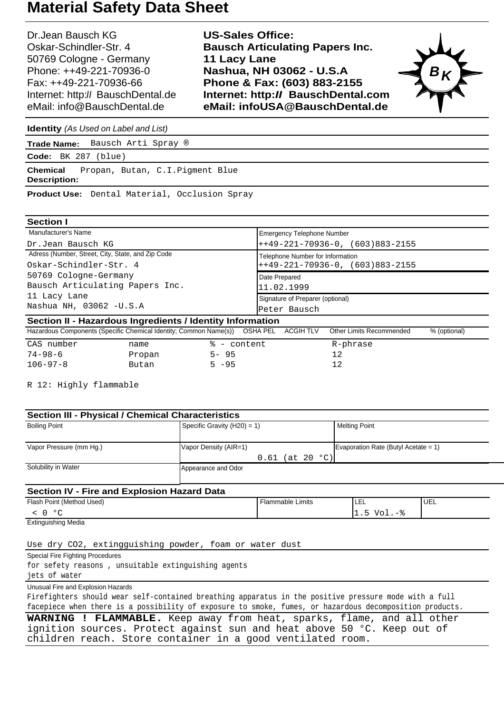Dr.Jean Bausch KG Oskar-Schindler-Str. 4 50769 Cologne - Germany Phone: ++49-221-70936-0 Fax: ++49-221-70936-66 Internet: http:// BauschDental.de eMail: [info@BauschDental.de](mailto:info@BauschDental.de)

**US-Sales Office: Bausch Articulating Papers Inc. 11 Lacy Lane Nashua, NH 03062 - U.S.A Phone & Fax: (603) 883-2155 Internet: http:II BauschDental.com eMail: [infoUSA@BauschDental.de](mailto:infoUSA@BauschDental.de)**



**Identity** (As Used on Label and List)

**Trade Name:** Bausch Arti Spray ®

**Code:** BK 287 (blue)

**Chemical** Propan, Butan, C.I.Pigment Blue **Description:**

**Product Use:** Dental Material, Occlusion Spray

| <b>Section I</b>                                                         |                                                                                      |          |                                  |                                   |                                  |              |
|--------------------------------------------------------------------------|--------------------------------------------------------------------------------------|----------|----------------------------------|-----------------------------------|----------------------------------|--------------|
| Manufacturer's Name                                                      |                                                                                      |          |                                  | <b>Emergency Telephone Number</b> |                                  |              |
| Dr.Jean Bausch KG                                                        |                                                                                      |          |                                  |                                   | $+49-221-70936-0, (603)883-2155$ |              |
| Adress (Number, Street, City, State, and Zip Code                        |                                                                                      |          |                                  | Telephone Number for Information  |                                  |              |
| Oskar-Schindler-Str. 4                                                   |                                                                                      |          |                                  | $++49-221-70936-0, (603)883-2155$ |                                  |              |
| 50769 Cologne-Germany<br>Bausch Articulating Papers Inc.<br>11 Lacy Lane |                                                                                      |          | Date Prepared<br>11.02.1999      |                                   |                                  |              |
|                                                                          |                                                                                      |          |                                  |                                   |                                  |              |
|                                                                          |                                                                                      |          | Signature of Preparer (optional) |                                   |                                  |              |
| Nashua NH, 03062 - U.S.A                                                 |                                                                                      |          |                                  | Peter Bausch                      |                                  |              |
|                                                                          | Section II - Hazardous Ingredients / Identity Information                            |          |                                  |                                   |                                  |              |
|                                                                          | Hazardous Components (Specific Chemical Identity; Common Name(s)) OSHA PEL ACGIH TLV |          |                                  |                                   | <b>Other Limits Recommended</b>  | % (optional) |
| CAS number                                                               | name                                                                                 | °≈       | - content                        |                                   | R-phrase                         |              |
| $74 - 98 - 6$                                                            | Propan                                                                               | $5 - 95$ |                                  |                                   | 12                               |              |
| $106 - 97 - 8$                                                           | Butan                                                                                | $5 - 95$ |                                  |                                   | 12                               |              |

| <b>Section III - Physical / Chemical Characteristics</b>                                                                                                                                                               |                                |                         |                                      |            |  |  |  |  |  |
|------------------------------------------------------------------------------------------------------------------------------------------------------------------------------------------------------------------------|--------------------------------|-------------------------|--------------------------------------|------------|--|--|--|--|--|
| <b>Boiling Point</b>                                                                                                                                                                                                   | Specific Gravity $(H20) = 1$ ) |                         | <b>Melting Point</b>                 |            |  |  |  |  |  |
| Vapor Pressure (mm Hg.)                                                                                                                                                                                                | Vapor Density (AIR=1)          |                         | Evaporation Rate (Butyl Acetate = 1) |            |  |  |  |  |  |
|                                                                                                                                                                                                                        |                                | $0.61$ (at 20 °C)       |                                      |            |  |  |  |  |  |
| Solubility in Water                                                                                                                                                                                                    | Appearance and Odor            |                         |                                      |            |  |  |  |  |  |
| <b>Section IV - Fire and Explosion Hazard Data</b>                                                                                                                                                                     |                                |                         |                                      |            |  |  |  |  |  |
| Flash Point (Method Used)                                                                                                                                                                                              |                                | <b>Flammable Limits</b> | <b>LEL</b>                           | <b>UEL</b> |  |  |  |  |  |
| $\leq 0$ °C                                                                                                                                                                                                            |                                | $1.5 \text{ Vol.} -$    |                                      |            |  |  |  |  |  |
| <b>Extinguishing Media</b>                                                                                                                                                                                             |                                |                         |                                      |            |  |  |  |  |  |
| Use dry CO2, extingguishing powder, foam or water dust                                                                                                                                                                 |                                |                         |                                      |            |  |  |  |  |  |
| <b>Special Fire Fighting Procedures</b>                                                                                                                                                                                |                                |                         |                                      |            |  |  |  |  |  |
| for sefety reasons, unsuitable extinguishing agents                                                                                                                                                                    |                                |                         |                                      |            |  |  |  |  |  |
| jets of water                                                                                                                                                                                                          |                                |                         |                                      |            |  |  |  |  |  |
| Unusual Fire and Explosion Hazards                                                                                                                                                                                     |                                |                         |                                      |            |  |  |  |  |  |
| Firefighters should wear self-contained breathing apparatus in the positive pressure mode with a full                                                                                                                  |                                |                         |                                      |            |  |  |  |  |  |
| facepiece when there is a possibility of exposure to smoke, fumes, or hazardous decomposition products.                                                                                                                |                                |                         |                                      |            |  |  |  |  |  |
| <b>WARNING ! FLAMMABLE.</b> Keep away from heat, sparks, flame, and all other<br>ignition sources. Protect against sun and heat above 50 °C. Keep out of<br>children reach. Store container in a good ventilated room. |                                |                         |                                      |            |  |  |  |  |  |